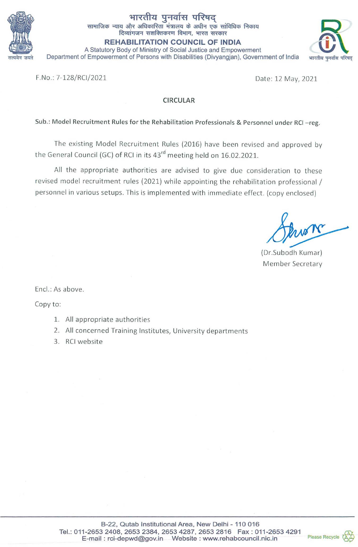

# भारतीय पुनर्वास परिषद

सामाजिक न्याय और अधिकारिता मंत्रालय के अधीन एक सांविधिक निकाय दिव्यांगजन सशक्तिकरण विभाग, भारत सरकार

**REHABILITATION COUNCIL OF INDIA** 

A Statutory Body of Ministry of Social Justice and Empowerment Department of Empowerment of Persons with Disabilities (Divyangian), Government of India



F.No.: 7-128/RCI/2021

Date: 12 May, 2021

### **CIRCULAR**

### Sub.: Model Recruitment Rules for the Rehabilitation Professionals & Personnel under RCI-reg.

The existing Model Recruitment Rules (2016) have been revised and approved by the General Council (GC) of RCI in its 43<sup>rd</sup> meeting held on 16.02.2021.

All the appropriate authorities are advised to give due consideration to these revised model recruitment rules (2021) while appointing the rehabilitation professional / personnel in various setups. This is implemented with immediate effect. (copy enclosed)

(Dr.Subodh Kumar) Member Secretary

Encl.: As above.

Copy to:

- 1. All appropriate authorities
- 2. All concerned Training Institutes, University departments
- 3. RCI website

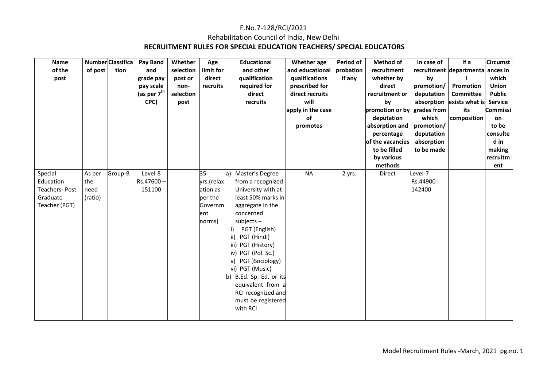### F.No.7-128/RCI/2021 Rehabilitation Council of India, New Delhi  **RECRUITMENT RULES FOR SPECIAL EDUCATION TEACHERS/ SPECIAL EDUCATORS**

| Name<br>of the<br>post                                             | of post                          | <b>Number Classifica</b><br>tion | Pay Band<br>and<br>grade pay<br>pay scale<br>(as per 7 <sup>th</sup><br>CPC) | Whether<br>selection<br>post or<br>non-<br>selection<br>post | Age<br>limit for<br>direct<br>recruits                               | <b>Educational</b><br>and other<br>qualification<br>required for<br>direct<br>recruits                                                                                                                                                                                                                                                                                               | Whether age<br>and educational<br>qualifications<br>prescribed for<br>direct recruits<br>will<br>apply in the case<br>of<br>promotes | Period of<br>probation<br>if any | <b>Method of</b><br>recruitment<br>whether by<br>direct<br>recruitment or<br>by<br>promotion or by grades from<br>deputation<br>absorption and<br>percentage<br>of the vacancies<br>to be filled<br>by various<br>methods | In case of<br>by<br>promotion/<br>deputation<br>which<br>promotion/<br>deputation<br>absorption<br>to be made | If a<br>recruitment departmenta<br>Promotion<br>Committee<br>absorption exists what is<br>its<br>composition | <b>Circumst</b><br>ances in<br>which<br>Union<br><b>Public</b><br><b>Service</b><br>Commissi<br>on<br>to be<br>consulte<br>d in<br>making<br>recruitm<br>ent |
|--------------------------------------------------------------------|----------------------------------|----------------------------------|------------------------------------------------------------------------------|--------------------------------------------------------------|----------------------------------------------------------------------|--------------------------------------------------------------------------------------------------------------------------------------------------------------------------------------------------------------------------------------------------------------------------------------------------------------------------------------------------------------------------------------|--------------------------------------------------------------------------------------------------------------------------------------|----------------------------------|---------------------------------------------------------------------------------------------------------------------------------------------------------------------------------------------------------------------------|---------------------------------------------------------------------------------------------------------------|--------------------------------------------------------------------------------------------------------------|--------------------------------------------------------------------------------------------------------------------------------------------------------------|
| Special<br>Education<br>Teachers-Post<br>Graduate<br>Teacher (PGT) | As per<br>the<br>need<br>(ratio) | Group-B                          | Level-8<br>Rs.47600-<br>151100                                               |                                                              | 35<br>yrs.(relax<br>ation as<br>per the<br>Governm<br>lent<br>norms) | Master's Degree<br>a)<br>from a recognized<br>University with at<br>least 50% marks in<br>aggregate in the<br>concerned<br>$subjects -$<br>PGT (English)<br>i)<br>ii)<br>PGT (Hindi)<br>iii) PGT (History)<br>iv) PGT (Pol. Sc.)<br>PGT )Sociology)<br>v)<br>vi) PGT (Music)<br>b) B.Ed. Sp. Ed. or its<br>equivalent from a<br>RCI recognized and<br>must be registered<br>with RCI | <b>NA</b>                                                                                                                            | 2 yrs.                           | Direct                                                                                                                                                                                                                    | evel-7<br>Rs.44900 -<br>142400                                                                                |                                                                                                              |                                                                                                                                                              |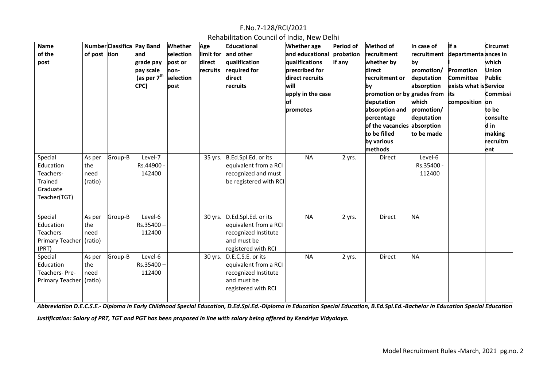| Rehabilitation Council of India, New Delhi |  |  |  |  |
|--------------------------------------------|--|--|--|--|
|--------------------------------------------|--|--|--|--|

| <b>Name</b><br>of the<br>post                                            | of post tion                     | Number Classifica Pay Band | and<br>grade pay<br>pay scale<br>(as per 7 <sup>th</sup><br>CPC) | Whether<br>selection<br>post or<br>non-<br>selection<br>post | Age<br>limit for<br>direct<br>recruits | Educational<br>and other<br>qualification<br>required for<br>direct<br>recruits                                    | <b>Whether</b> age<br>and educational<br>qualifications<br>prescribed for<br>direct recruits<br>will<br>apply in the case<br>of<br>promotes | <b>Period of</b><br>probation<br>if any | <b>Method of</b><br>recruitment<br>whether by<br>direct<br>recruitment or<br>by<br>promotion or by grades from its<br>deputation<br>absorption and<br>percentage<br>of the vacancies absorption<br>to be filled<br>by various<br>methods | In case of<br>by<br>promotion/<br>deputation<br>absorption<br>which<br>promotion/<br>deputation<br>to be made | If a<br>recruitment departmenta ances in<br>Promotion<br><b>Committee</b><br>exists what is Service<br>composition on | <b>Circumst</b><br>which<br><b>Union</b><br><b>Public</b><br>Commissi<br>to be<br>consulte<br>d in<br>making<br>recruitm<br>ent |
|--------------------------------------------------------------------------|----------------------------------|----------------------------|------------------------------------------------------------------|--------------------------------------------------------------|----------------------------------------|--------------------------------------------------------------------------------------------------------------------|---------------------------------------------------------------------------------------------------------------------------------------------|-----------------------------------------|------------------------------------------------------------------------------------------------------------------------------------------------------------------------------------------------------------------------------------------|---------------------------------------------------------------------------------------------------------------|-----------------------------------------------------------------------------------------------------------------------|---------------------------------------------------------------------------------------------------------------------------------|
| Special<br>Education<br>Teachers-<br>Trained<br>Graduate<br>Teacher(TGT) | As per<br>the<br>need<br>(ratio) | Group-B                    | Level-7<br>Rs.44900 -<br>142400                                  |                                                              |                                        | 35 yrs. B.Ed.Spl.Ed. or its<br>equivalent from a RCI<br>recognized and must<br>be registered with RCI              | <b>NA</b>                                                                                                                                   | 2 yrs.                                  | Direct                                                                                                                                                                                                                                   | Level-6<br>Rs.35400 -<br>112400                                                                               |                                                                                                                       |                                                                                                                                 |
| Special<br>Education<br>Teachers-<br>Primary Teacher   (ratio)<br>(PRT)  | As per<br>the<br>need            | Group-B                    | Level-6<br>$Rs.35400 -$<br>112400                                |                                                              |                                        | 30 yrs. D.Ed.Spl.Ed. or its<br>equivalent from a RCI<br>recognized Institute<br>and must be<br>registered with RCI | <b>NA</b>                                                                                                                                   | 2 yrs.                                  | <b>Direct</b>                                                                                                                                                                                                                            | <b>NA</b>                                                                                                     |                                                                                                                       |                                                                                                                                 |
| Special<br>Education<br>Teachers-Pre-<br>Primary Teacher (ratio)         | As per<br>the<br>need            | Group-B                    | Level-6<br>$Rs.35400 -$<br>112400                                |                                                              |                                        | 30 yrs. D.E.C.S.E. or its<br>equivalent from a RCI<br>recognized Institute<br>and must be<br>registered with RCI   | <b>NA</b>                                                                                                                                   | 2 yrs.                                  | Direct                                                                                                                                                                                                                                   | <b>NA</b>                                                                                                     |                                                                                                                       |                                                                                                                                 |

*Abbreviation D.E.C.S.E.- Diploma in Early Childhood Special Education, D.Ed.Spl.Ed.-Diploma in Education Special Education, B.Ed.Spl.Ed.-Bachelor in Education Special Education* 

*Justification: Salary of PRT, TGT and PGT has been proposed in line with salary being offered by Kendriya Vidyalaya.*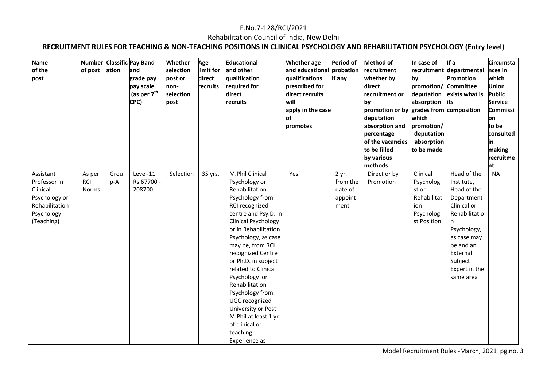### Rehabilitation Council of India, New Delhi

**RECRUITMENT RULES FOR TEACHING & NON-TEACHING POSITIONS IN CLINICAL PSYCHOLOGY AND REHABILITATION PSYCHOLOGY (Entry level)** 

| Name           |              |       | <b>Number Classific Pay Band</b> | Whether   | Age       | <b>Educational</b>                | <b>Whether</b> age        | Period of | <b>Method of</b>                        | In case of  | If a                     | <b>Circumsta</b> |
|----------------|--------------|-------|----------------------------------|-----------|-----------|-----------------------------------|---------------------------|-----------|-----------------------------------------|-------------|--------------------------|------------------|
| of the         | of post      | ation | and                              | selection | limit for | and other                         | and educational probation |           | recruitment                             |             | recruitment departmental | nces in          |
| post           |              |       | grade pay                        | post or   | direct    | qualification                     | qualifications            | if any    | whether by                              | by          | Promotion                | which            |
|                |              |       | pay scale                        | non-      | recruits  | required for                      | prescribed for            |           | direct                                  | promotion/  | <b>Committee</b>         | <b>Union</b>     |
|                |              |       | $ $ (as per $7th$                | selection |           | direct                            | direct recruits           |           | recruitment or                          | deputation  | exists what is           | <b>Public</b>    |
|                |              |       | CPC)                             | post      |           | recruits                          | will                      |           | by                                      | absorption  | its                      | <b>Service</b>   |
|                |              |       |                                  |           |           |                                   | apply in the case         |           | promotion or by grades from composition |             |                          | <b>Commissi</b>  |
|                |              |       |                                  |           |           |                                   | of                        |           | deputation                              | which       |                          | on               |
|                |              |       |                                  |           |           |                                   | promotes                  |           | absorption and                          | promotion/  |                          | to be            |
|                |              |       |                                  |           |           |                                   |                           |           | percentage                              | deputation  |                          | consulted        |
|                |              |       |                                  |           |           |                                   |                           |           | of the vacancies                        | absorption  |                          | in               |
|                |              |       |                                  |           |           |                                   |                           |           | to be filled                            | to be made  |                          | making           |
|                |              |       |                                  |           |           |                                   |                           |           | by various                              |             |                          | recruitme        |
|                |              |       |                                  |           |           |                                   |                           |           | methods                                 |             |                          | nt               |
| Assistant      | As per       | Grou  | Level-11                         | Selection | 35 yrs.   | M.Phil Clinical                   | Yes                       | 2 yr.     | Direct or by                            | Clinical    | Head of the              | <b>NA</b>        |
| Professor in   | <b>RCI</b>   | p-A   | Rs.67700 -                       |           |           | Psychology or                     |                           | from the  | Promotion                               | Psychologi  | Institute,               |                  |
| Clinical       | <b>Norms</b> |       | 208700                           |           |           | Rehabilitation                    |                           | date of   |                                         | st or       | Head of the              |                  |
| Psychology or  |              |       |                                  |           |           | Psychology from                   |                           | appoint   |                                         | Rehabilitat | Department               |                  |
| Rehabilitation |              |       |                                  |           |           | RCI recognized                    |                           | ment      |                                         | ion         | Clinical or              |                  |
| Psychology     |              |       |                                  |           |           | centre and Psy.D. in              |                           |           |                                         | Psychologi  | Rehabilitatio            |                  |
| (Teaching)     |              |       |                                  |           |           | <b>Clinical Psychology</b>        |                           |           |                                         | st Position | n                        |                  |
|                |              |       |                                  |           |           | or in Rehabilitation              |                           |           |                                         |             | Psychology,              |                  |
|                |              |       |                                  |           |           | Psychology, as case               |                           |           |                                         |             | as case may              |                  |
|                |              |       |                                  |           |           | may be, from RCI                  |                           |           |                                         |             | be and an                |                  |
|                |              |       |                                  |           |           | recognized Centre                 |                           |           |                                         |             | External                 |                  |
|                |              |       |                                  |           |           | or Ph.D. in subject               |                           |           |                                         |             | Subject                  |                  |
|                |              |       |                                  |           |           | related to Clinical               |                           |           |                                         |             | Expert in the            |                  |
|                |              |       |                                  |           |           | Psychology or<br>Rehabilitation   |                           |           |                                         |             | same area                |                  |
|                |              |       |                                  |           |           |                                   |                           |           |                                         |             |                          |                  |
|                |              |       |                                  |           |           | Psychology from<br>UGC recognized |                           |           |                                         |             |                          |                  |
|                |              |       |                                  |           |           | University or Post                |                           |           |                                         |             |                          |                  |
|                |              |       |                                  |           |           | M.Phil at least 1 yr.             |                           |           |                                         |             |                          |                  |
|                |              |       |                                  |           |           | of clinical or                    |                           |           |                                         |             |                          |                  |
|                |              |       |                                  |           |           | teaching                          |                           |           |                                         |             |                          |                  |
|                |              |       |                                  |           |           |                                   |                           |           |                                         |             |                          |                  |
|                |              |       |                                  |           |           | Experience as                     |                           |           |                                         |             |                          |                  |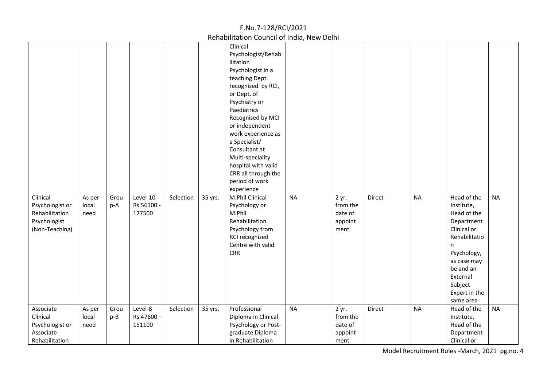| Clinical<br>Psychologist or<br>Rehabilitation<br>Psychologist<br>(Non-Teaching) | As per<br>local<br>need | Grou<br>p-A | Level-10<br>Rs.56100 -<br>177500 | Selection | 35 yrs. | Clinical<br>Psychologist/Rehab<br>ilitation<br>Psychologist in a<br>teaching Dept.<br>recognised by RCI,<br>or Dept. of<br>Psychiatry or<br>Paediatrics<br>Recognised by MCI<br>or independent<br>work experience as<br>a Specialist/<br>Consultant at<br>Multi-speciality<br>hospital with valid<br>CRR all through the<br>period of work<br>experience<br>M.Phil Clinical<br>Psychology or<br>M.Phil<br>Rehabilitation<br>Psychology from<br>RCI recognized<br>Centre with valid<br><b>CRR</b> | <b>NA</b> | 2 yr.<br>from the<br>date of<br>appoint<br>ment | Direct | <b>NA</b> | Head of the<br>Institute,<br>Head of the<br>Department<br>Clinical or<br>Rehabilitatio<br>n<br>Psychology,<br>as case may<br>be and an<br>External<br>Subject<br>Expert in the<br>same area | <b>NA</b> |
|---------------------------------------------------------------------------------|-------------------------|-------------|----------------------------------|-----------|---------|--------------------------------------------------------------------------------------------------------------------------------------------------------------------------------------------------------------------------------------------------------------------------------------------------------------------------------------------------------------------------------------------------------------------------------------------------------------------------------------------------|-----------|-------------------------------------------------|--------|-----------|---------------------------------------------------------------------------------------------------------------------------------------------------------------------------------------------|-----------|
| Associate<br>Clinical<br>Psychologist or<br>Associate<br>Rehabilitation         | As per<br>local<br>need | Grou<br>p-B | Level-8<br>Rs.47600-<br>151100   | Selection | 35 yrs. | Professional<br>Diploma in Clinical<br>Psychology or Post-<br>graduate Diploma<br>in Rehabilitation                                                                                                                                                                                                                                                                                                                                                                                              | <b>NA</b> | 2 yr.<br>from the<br>date of<br>appoint<br>ment | Direct | <b>NA</b> | Head of the<br>Institute,<br>Head of the<br>Department<br>Clinical or                                                                                                                       | <b>NA</b> |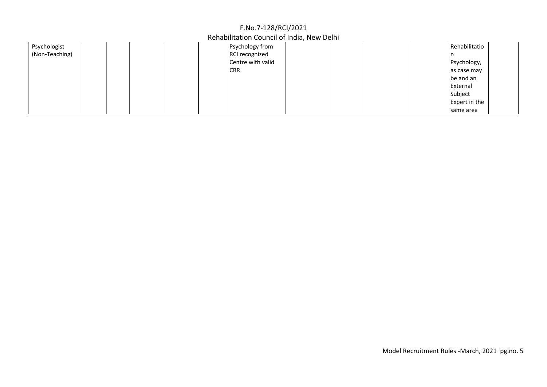| Psychologist   |  |  | Psychology from   |  |  | Rehabilitatio |  |
|----------------|--|--|-------------------|--|--|---------------|--|
| (Non-Teaching) |  |  | RCI recognized    |  |  |               |  |
|                |  |  | Centre with valid |  |  | Psychology,   |  |
|                |  |  | <b>CRR</b>        |  |  | as case may   |  |
|                |  |  |                   |  |  | be and an     |  |
|                |  |  |                   |  |  | External      |  |
|                |  |  |                   |  |  | Subject       |  |
|                |  |  |                   |  |  | Expert in the |  |
|                |  |  |                   |  |  | same area     |  |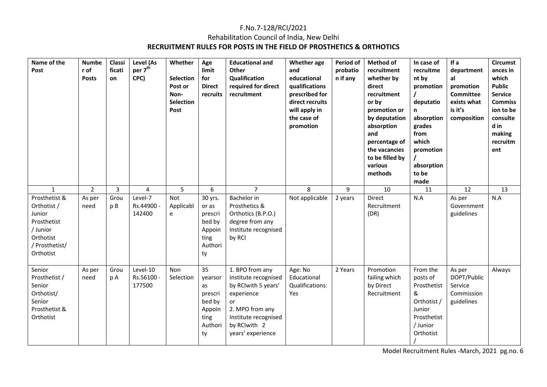### F.No.7-128/RCI/2021 Rehabilitation Council of India, New Delhi **RECRUITMENT RULES FOR POSTS IN THE FIELD OF PROSTHETICS & ORTHOTICS**

| Name of the<br>Post                                                                                           | <b>Numbe</b><br>r of<br><b>Posts</b> | Classi<br>ficati<br>on | Level (As<br>per 7 <sup>th</sup><br>CPC) | Whether<br><b>Selection</b><br>Post or<br>Non-<br><b>Selection</b><br>Post | Age<br>limit<br>for<br><b>Direct</b><br>recruits                            | <b>Educational and</b><br>Other<br>Qualification<br>required for direct<br>recruitment                                                                             | <b>Whether</b> age<br>and<br>educational<br>qualifications<br>prescribed for<br>direct recruits<br>will apply in<br>the case of<br>promotion | Period of<br>probatio<br>n if any | <b>Method of</b><br>recruitment<br>whether by<br>direct<br>recruitment<br>or by<br>promotion or<br>by deputation<br>absorption<br>and<br>percentage of<br>the vacancies<br>to be filled by<br>various<br>methods | In case of<br>recruitme<br>nt by<br>promotion<br>deputatio<br>n<br>absorption<br>grades<br>from<br>which<br>promotion<br>absorption<br>to be<br>made | If a<br>department<br>al<br>promotion<br><b>Committee</b><br>exists what<br>is it's<br>composition | <b>Circumst</b><br>ances in<br>which<br><b>Public</b><br><b>Service</b><br><b>Commiss</b><br>ion to be<br>consulte<br>d in<br>making<br>recruitm<br>ent |
|---------------------------------------------------------------------------------------------------------------|--------------------------------------|------------------------|------------------------------------------|----------------------------------------------------------------------------|-----------------------------------------------------------------------------|--------------------------------------------------------------------------------------------------------------------------------------------------------------------|----------------------------------------------------------------------------------------------------------------------------------------------|-----------------------------------|------------------------------------------------------------------------------------------------------------------------------------------------------------------------------------------------------------------|------------------------------------------------------------------------------------------------------------------------------------------------------|----------------------------------------------------------------------------------------------------|---------------------------------------------------------------------------------------------------------------------------------------------------------|
| $\mathbf{1}$                                                                                                  | $\overline{2}$                       | $\overline{3}$         | 4                                        | 5                                                                          | 6                                                                           | $\overline{7}$                                                                                                                                                     | 8                                                                                                                                            | 9                                 | 10                                                                                                                                                                                                               | 11                                                                                                                                                   | 12                                                                                                 | 13                                                                                                                                                      |
| Prosthetist &<br>Orthotist /<br>Junior<br>Prosthetist<br>/ Junior<br>Orthotist<br>/ Prosthetist/<br>Orthotist | As per<br>need                       | Grou<br>p B            | Level-7<br>Rs.44900<br>142400            | Not<br>Applicabl<br>e                                                      | 30 yrs.<br>or as<br>prescri<br>bed by<br>Appoin<br>ting<br>Authori<br>ty    | Bachelor in<br>Prosthetics &<br>Orthotics (B.P.O.)<br>degree from any<br>Institute recognised<br>by RCI                                                            | Not applicable                                                                                                                               | 2 years                           | Direct<br>Recruitment<br>(DR)                                                                                                                                                                                    | N.A                                                                                                                                                  | As per<br>Government<br>guidelines                                                                 | N.A                                                                                                                                                     |
| Senior<br>Prosthetist /<br>Senior<br>Orthotist/<br>Senior<br>Prosthetist &<br>Orthotist                       | As per<br>need                       | Grou<br>p A            | Level-10<br>Rs.56100<br>177500           | Non<br>Selection                                                           | 35<br>yearsor<br>as<br>prescri<br>bed by<br>Appoin<br>ting<br>Authori<br>ty | 1. BPO from any<br>Institute recognised<br>by RCIwith 5 years'<br>experience<br>or<br>2. MPO from any<br>Institute recognised<br>by RCIwith 2<br>years' experience | Age: No<br>Educational<br>Qualifications:<br>Yes                                                                                             | 2 Years                           | Promotion<br>failing which<br>by Direct<br>Recruitment                                                                                                                                                           | From the<br>posts of<br>Prosthetist<br>&<br>Orthotist /<br>Junior<br>Prosthetist<br>/ Junior<br>Orthotist                                            | As per<br>DOPT/Public<br>Service<br>Commission<br>guidelines                                       | Always                                                                                                                                                  |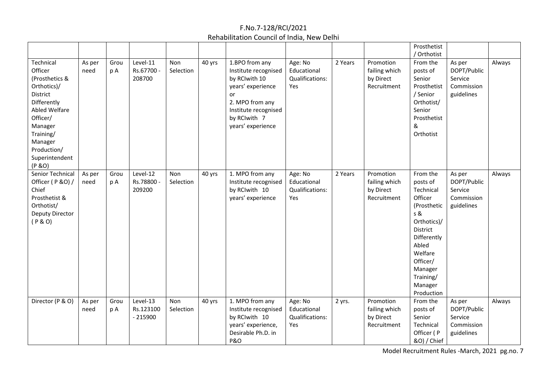|                                                                                                                                                                                                     |                |             |                                    |                  |        |                                                                                                                                                                    |                                                  |         |                                                        | Prosthetist<br>/ Orthotist                                                                                                                                                                    |                                                              |        |
|-----------------------------------------------------------------------------------------------------------------------------------------------------------------------------------------------------|----------------|-------------|------------------------------------|------------------|--------|--------------------------------------------------------------------------------------------------------------------------------------------------------------------|--------------------------------------------------|---------|--------------------------------------------------------|-----------------------------------------------------------------------------------------------------------------------------------------------------------------------------------------------|--------------------------------------------------------------|--------|
| Technical<br>Officer<br>(Prosthetics &<br>Orthotics)/<br>District<br>Differently<br><b>Abled Welfare</b><br>Officer/<br>Manager<br>Training/<br>Manager<br>Production/<br>Superintendent<br>(P & O) | As per<br>need | Grou<br>p A | Level-11<br>Rs.67700<br>208700     | Non<br>Selection | 40 yrs | 1.BPO from any<br>Institute recognised<br>by RCIwith 10<br>years' experience<br>or<br>2. MPO from any<br>Institute recognised<br>by RCIwith 7<br>years' experience | Age: No<br>Educational<br>Qualifications:<br>Yes | 2 Years | Promotion<br>failing which<br>by Direct<br>Recruitment | From the<br>posts of<br>Senior<br>Prosthetist<br>/ Senior<br>Orthotist/<br>Senior<br>Prosthetist<br>&<br>Orthotist                                                                            | As per<br>DOPT/Public<br>Service<br>Commission<br>guidelines | Always |
| Senior Technical<br>Officer (P &O) /<br>Chief<br>Prosthetist &<br>Orthotist/<br>Deputy Director<br>(P & O)                                                                                          | As per<br>need | Grou<br>p A | Level-12<br>Rs.78800<br>209200     | Non<br>Selection | 40 yrs | 1. MPO from any<br>Institute recognised<br>by RCIwith 10<br>years' experience                                                                                      | Age: No<br>Educational<br>Qualifications:<br>Yes | 2 Years | Promotion<br>failing which<br>by Direct<br>Recruitment | From the<br>posts of<br>Technical<br>Officer<br>(Prosthetic<br>s &<br>Orthotics)/<br>District<br>Differently<br>Abled<br>Welfare<br>Officer/<br>Manager<br>Training/<br>Manager<br>Production | As per<br>DOPT/Public<br>Service<br>Commission<br>guidelines | Always |
| Director (P & O)                                                                                                                                                                                    | As per<br>need | Grou<br>p A | Level-13<br>Rs.123100<br>$-215900$ | Non<br>Selection | 40 yrs | 1. MPO from any<br>Institute recognised<br>by RCIwith 10<br>years' experience,<br>Desirable Ph.D. in<br><b>P&amp;O</b>                                             | Age: No<br>Educational<br>Qualifications:<br>Yes | 2 yrs.  | Promotion<br>failing which<br>by Direct<br>Recruitment | From the<br>posts of<br>Senior<br>Technical<br>Officer (P<br>&O) / Chief                                                                                                                      | As per<br>DOPT/Public<br>Service<br>Commission<br>guidelines | Always |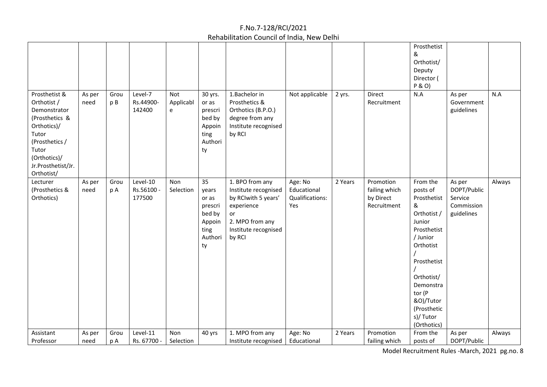|                                                                                                                                                                       |                |             |                                  |                               |                                                                              |                                                                                                                                         |                                                  |         |                                                        | Prosthetist<br>&<br>Orthotist/<br>Deputy<br>Director (<br>P & O)                                                                                                                                                      |                                                              |        |
|-----------------------------------------------------------------------------------------------------------------------------------------------------------------------|----------------|-------------|----------------------------------|-------------------------------|------------------------------------------------------------------------------|-----------------------------------------------------------------------------------------------------------------------------------------|--------------------------------------------------|---------|--------------------------------------------------------|-----------------------------------------------------------------------------------------------------------------------------------------------------------------------------------------------------------------------|--------------------------------------------------------------|--------|
| Prosthetist &<br>Orthotist /<br>Demonstrator<br>(Prosthetics &<br>Orthotics)/<br>Tutor<br>(Prosthetics /<br>Tutor<br>(Orthotics)/<br>Jr.Prosthetist/Jr.<br>Orthotist/ | As per<br>need | Grou<br>p B | Level-7<br>Rs.44900-<br>142400   | Not<br>Applicabl<br>${\bf e}$ | 30 yrs.<br>or as<br>prescri<br>bed by<br>Appoin<br>ting<br>Authori<br>ty     | 1.Bachelor in<br>Prosthetics &<br>Orthotics (B.P.O.)<br>degree from any<br>Institute recognised<br>by RCI                               | Not applicable                                   | 2 yrs.  | Direct<br>Recruitment                                  | N.A                                                                                                                                                                                                                   | As per<br>Government<br>guidelines                           | N.A    |
| Lecturer<br>(Prosthetics &<br>Orthotics)                                                                                                                              | As per<br>need | Grou<br>p A | Level-10<br>Rs.56100 -<br>177500 | Non<br>Selection              | 35<br>years<br>or as<br>prescri<br>bed by<br>Appoin<br>ting<br>Authori<br>ty | 1. BPO from any<br>Institute recognised<br>by RCIwith 5 years'<br>experience<br>or<br>2. MPO from any<br>Institute recognised<br>by RCI | Age: No<br>Educational<br>Qualifications:<br>Yes | 2 Years | Promotion<br>failing which<br>by Direct<br>Recruitment | From the<br>posts of<br>Prosthetist<br>&<br>Orthotist /<br>Junior<br>Prosthetist<br>/ Junior<br>Orthotist<br>Prosthetist<br>Orthotist/<br>Demonstra<br>tor (P<br>&O)/Tutor<br>(Prosthetic<br>s)/ Tutor<br>(Orthotics) | As per<br>DOPT/Public<br>Service<br>Commission<br>guidelines | Always |
| Assistant                                                                                                                                                             | As per         | Grou        | Level-11                         | Non                           | 40 yrs                                                                       | 1. MPO from any                                                                                                                         | Age: No                                          | 2 Years | Promotion                                              | From the                                                                                                                                                                                                              | As per                                                       | Always |
| Professor                                                                                                                                                             | need           | p A         | Rs. 67700 -                      | Selection                     |                                                                              | Institute recognised                                                                                                                    | Educational                                      |         | failing which                                          | posts of                                                                                                                                                                                                              | DOPT/Public                                                  |        |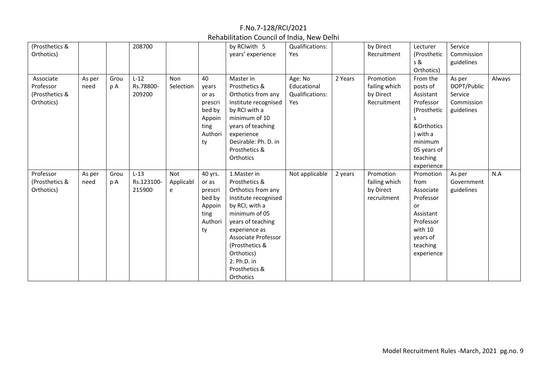| (Prosthetics &<br>Orthotics)                           |                |             | 208700                         |                       |                                                                              | by RCIwith 5<br>years' experience                                                                                                                                                                                                                        | Qualifications:<br>Yes                           |         | by Direct<br>Recruitment                               | Lecturer<br>(Prosthetic<br>s &<br>Orthotics)                                                                                                   | Service<br>Commission<br>guidelines                          |        |
|--------------------------------------------------------|----------------|-------------|--------------------------------|-----------------------|------------------------------------------------------------------------------|----------------------------------------------------------------------------------------------------------------------------------------------------------------------------------------------------------------------------------------------------------|--------------------------------------------------|---------|--------------------------------------------------------|------------------------------------------------------------------------------------------------------------------------------------------------|--------------------------------------------------------------|--------|
| Associate<br>Professor<br>(Prosthetics &<br>Orthotics) | As per<br>need | Grou<br>рA  | $L-12$<br>Rs.78800-<br>209200  | Non<br>Selection      | 40<br>years<br>or as<br>prescri<br>bed by<br>Appoin<br>ting<br>Authori<br>ty | Master in<br>Prosthetics &<br>Orthotics from any<br>Institute recognised<br>by RCI with a<br>minimum of 10<br>years of teaching<br>experience<br>Desirable: Ph. D. in<br>Prosthetics &<br>Orthotics                                                      | Age: No<br>Educational<br>Qualifications:<br>Yes | 2 Years | Promotion<br>failing which<br>by Direct<br>Recruitment | From the<br>posts of<br>Assistant<br>Professor<br>(Prosthetic<br>s<br>&Orthotics<br>with a<br>minimum<br>05 years of<br>teaching<br>experience | As per<br>DOPT/Public<br>Service<br>Commission<br>guidelines | Always |
| Professor<br>(Prosthetics &<br>Orthotics)              | As per<br>need | Grou<br>p A | $L-13$<br>Rs.123100-<br>215900 | Not<br>Applicabl<br>e | 40 yrs.<br>or as<br>prescri<br>bed by<br>Appoin<br>ting<br>Authori<br>ty     | 1. Master in<br>Prosthetics &<br>Orthotics from any<br>Institute recognised<br>by RCI, with a<br>minimum of 05<br>years of teaching<br>experience as<br>Associate Professor<br>(Prosthetics &<br>Orthotics)<br>2. Ph.D. in<br>Prosthetics &<br>Orthotics | Not applicable                                   | 2 years | Promotion<br>failing which<br>by Direct<br>recruitment | Promotion<br>from<br>Associate<br>Professor<br>or<br>Assistant<br>Professor<br>with 10<br>years of<br>teaching<br>experience                   | As per<br>Government<br>guidelines                           | N.A    |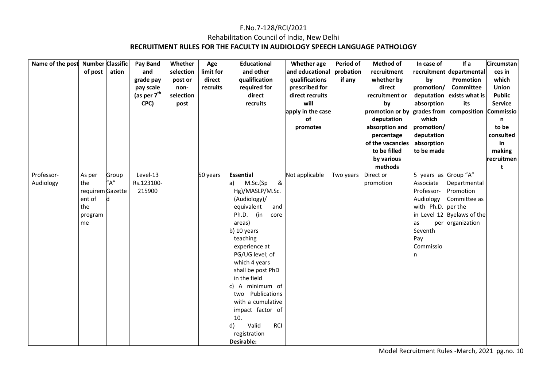### F.No.7-128/RCI/2021 Rehabilitation Council of India, New Delhi **RECRUITMENT RULES FOR THE FACULTY IN AUDIOLOGY SPEECH LANGUAGE PATHOLOGY**

| Name of the post Number Classific |                  |       | Pay Band                | Whether   | Age       | <b>Educational</b>        | <b>Whether</b> age | Period of | <b>Method of</b> | In case of           | If a                       | Circumstan     |
|-----------------------------------|------------------|-------|-------------------------|-----------|-----------|---------------------------|--------------------|-----------|------------------|----------------------|----------------------------|----------------|
|                                   | of post          | ation | and                     | selection | limit for | and other                 | and educational    | probation | recruitment      |                      | recruitment departmental   | ces in         |
|                                   |                  |       | grade pay               | post or   | direct    | qualification             | qualifications     | if any    | whether by       | by                   | Promotion                  | which          |
|                                   |                  |       | pay scale               | non-      | recruits  | required for              | prescribed for     |           | direct           | promotion/           | <b>Committee</b>           | <b>Union</b>   |
|                                   |                  |       | (as per $7^{\text{th}}$ | selection |           | direct                    | direct recruits    |           | recruitment or   | deputation           | exists what is             | <b>Public</b>  |
|                                   |                  |       | CPC)                    | post      |           | recruits                  | will               |           | by               | absorption           | its                        | <b>Service</b> |
|                                   |                  |       |                         |           |           |                           | apply in the case  |           | promotion or by  | grades from          | composition                | Commissio      |
|                                   |                  |       |                         |           |           |                           | of                 |           | deputation       | which                |                            | n              |
|                                   |                  |       |                         |           |           |                           | promotes           |           | absorption and   | promotion/           |                            | to be          |
|                                   |                  |       |                         |           |           |                           |                    |           | percentage       | deputation           |                            | consulted      |
|                                   |                  |       |                         |           |           |                           |                    |           | of the vacancies | absorption           |                            | in             |
|                                   |                  |       |                         |           |           |                           |                    |           | to be filled     | to be made           |                            | making         |
|                                   |                  |       |                         |           |           |                           |                    |           | by various       |                      |                            | recruitmen     |
|                                   |                  |       |                         |           |           |                           |                    |           | methods          |                      |                            | t              |
| Professor-                        | As per           | Group | Level-13                |           | 50 years  | <b>Essential</b>          | Not applicable     | Two years | Direct or        | 5 years as Group "A" |                            |                |
| Audiology                         | the              | "А"   | Rs.123100-              |           |           | M.Sc.(Sp<br>&<br>a)       |                    |           | promotion        | Associate            | Departmental               |                |
|                                   | requirem Gazette |       | 215900                  |           |           | Hg)/MASLP/M.Sc.           |                    |           |                  | Professor-           | Promotion                  |                |
|                                   | ent of           | Id    |                         |           |           | (Audiology)/              |                    |           |                  | Audiology            | Committee as               |                |
|                                   | the              |       |                         |           |           | equivalent<br>and         |                    |           |                  | with Ph.D. per the   |                            |                |
|                                   | program          |       |                         |           |           | Ph.D. (in<br>core         |                    |           |                  |                      | in Level 12 Byelaws of the |                |
|                                   | me               |       |                         |           |           | areas)                    |                    |           |                  | as                   | per organization           |                |
|                                   |                  |       |                         |           |           | b) 10 years               |                    |           |                  | Seventh              |                            |                |
|                                   |                  |       |                         |           |           | teaching                  |                    |           |                  | Pay                  |                            |                |
|                                   |                  |       |                         |           |           | experience at             |                    |           |                  | Commissio            |                            |                |
|                                   |                  |       |                         |           |           | PG/UG level; of           |                    |           |                  | n                    |                            |                |
|                                   |                  |       |                         |           |           | which 4 years             |                    |           |                  |                      |                            |                |
|                                   |                  |       |                         |           |           | shall be post PhD         |                    |           |                  |                      |                            |                |
|                                   |                  |       |                         |           |           | in the field              |                    |           |                  |                      |                            |                |
|                                   |                  |       |                         |           |           | c) A minimum of           |                    |           |                  |                      |                            |                |
|                                   |                  |       |                         |           |           | Publications<br>two       |                    |           |                  |                      |                            |                |
|                                   |                  |       |                         |           |           | with a cumulative         |                    |           |                  |                      |                            |                |
|                                   |                  |       |                         |           |           | impact factor of          |                    |           |                  |                      |                            |                |
|                                   |                  |       |                         |           |           | 10.                       |                    |           |                  |                      |                            |                |
|                                   |                  |       |                         |           |           | Valid<br><b>RCI</b><br>d) |                    |           |                  |                      |                            |                |
|                                   |                  |       |                         |           |           | registration              |                    |           |                  |                      |                            |                |
|                                   |                  |       |                         |           |           | Desirable:                |                    |           |                  |                      |                            |                |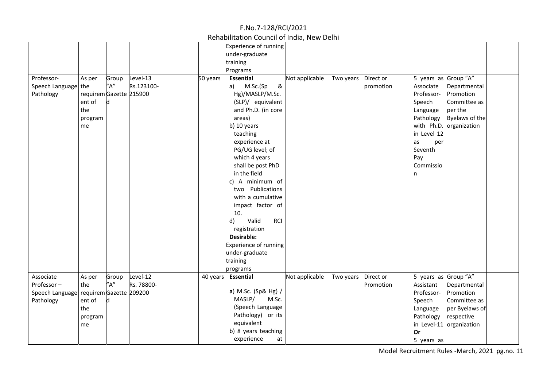| Experience of running                                                                                                                        |  |
|----------------------------------------------------------------------------------------------------------------------------------------------|--|
| under-graduate                                                                                                                               |  |
| training                                                                                                                                     |  |
| Programs                                                                                                                                     |  |
| Professor-<br>Level-13<br>5 years as Group "A"<br>Group<br>50 years<br><b>Essential</b><br>Not applicable<br>Two years Direct or<br>As per   |  |
| "A"<br>Speech Language the<br>Rs.123100-<br>&<br>Associate<br>M.Sc.(Sp<br>Departmental<br>promotion<br>a)                                    |  |
| Pathology<br>requirem Gazette 215900<br>Hg)/MASLP/M.Sc.<br>Professor-<br>Promotion                                                           |  |
| ent of<br>d<br>(SLP)/ equivalent<br>Committee as<br>Speech                                                                                   |  |
| the<br>and Ph.D. (in core<br>per the<br>Language                                                                                             |  |
| Byelaws of the<br>Pathology<br>areas)<br>program                                                                                             |  |
| b) 10 years<br>with Ph.D. organization<br>me                                                                                                 |  |
| in Level 12<br>teaching                                                                                                                      |  |
| experience at<br>as<br>per                                                                                                                   |  |
| Seventh<br>PG/UG level; of                                                                                                                   |  |
| which 4 years<br>Pay                                                                                                                         |  |
| shall be post PhD<br>Commissio                                                                                                               |  |
| in the field                                                                                                                                 |  |
| n                                                                                                                                            |  |
| A minimum of<br>C)                                                                                                                           |  |
| two Publications                                                                                                                             |  |
| with a cumulative                                                                                                                            |  |
| impact factor of                                                                                                                             |  |
| 10.                                                                                                                                          |  |
| Valid<br><b>RCI</b><br>d)                                                                                                                    |  |
| registration                                                                                                                                 |  |
| Desirable:                                                                                                                                   |  |
| Experience of running                                                                                                                        |  |
| under-graduate                                                                                                                               |  |
| training                                                                                                                                     |  |
| programs                                                                                                                                     |  |
| 5 years as Group "A"<br>Associate<br>Level-12<br><b>Essential</b><br>Direct or<br>40 years<br>Not applicable<br>Two years<br>As per<br>Group |  |
| $^{\prime\prime}$ A"<br>Rs. 78800-<br>Professor-<br>Assistant<br>Departmental<br>the<br>Promotion                                            |  |
| a) M.Sc. (Sp& Hg) /<br>Speech Language<br>requirem Gazette 209200<br>Professor-<br>Promotion                                                 |  |
| MASLP/<br>M.Sc.<br>Pathology<br>ent of<br>d<br>Speech<br>Committee as                                                                        |  |
| (Speech Language<br>the<br>per Byelaws of<br>Language                                                                                        |  |
| Pathology) or its<br>Pathology<br>respective<br>program                                                                                      |  |
| equivalent<br>in Level-11 organization<br>me                                                                                                 |  |
| b) 8 years teaching<br>Or                                                                                                                    |  |
|                                                                                                                                              |  |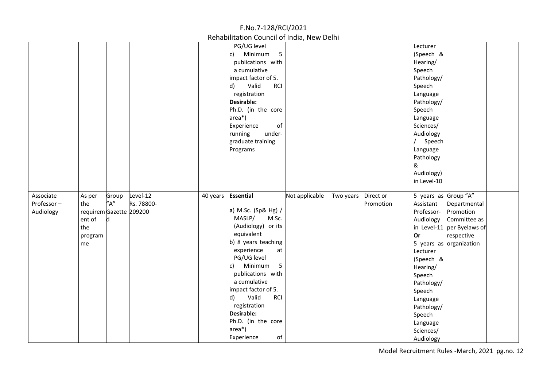|            |                         |       |            | F.No.7-128/RCI/2021                        |                |           |           |                      |                            |
|------------|-------------------------|-------|------------|--------------------------------------------|----------------|-----------|-----------|----------------------|----------------------------|
|            |                         |       |            | Rehabilitation Council of India, New Delhi |                |           |           |                      |                            |
|            |                         |       |            | PG/UG level                                |                |           |           | Lecturer             |                            |
|            |                         |       |            | 5<br>Minimum<br>c)                         |                |           |           | (Speech &            |                            |
|            |                         |       |            | publications with                          |                |           |           | Hearing/             |                            |
|            |                         |       |            | a cumulative                               |                |           |           | Speech               |                            |
|            |                         |       |            | impact factor of 5.                        |                |           |           | Pathology/           |                            |
|            |                         |       |            | Valid<br>d)<br><b>RCI</b>                  |                |           |           | Speech               |                            |
|            |                         |       |            | registration                               |                |           |           | Language             |                            |
|            |                         |       |            | <b>Desirable:</b>                          |                |           |           | Pathology/           |                            |
|            |                         |       |            | Ph.D. (in the core                         |                |           |           | Speech               |                            |
|            |                         |       |            | area*)                                     |                |           |           | Language             |                            |
|            |                         |       |            | Experience<br>of                           |                |           |           | Sciences/            |                            |
|            |                         |       |            | under-<br>running                          |                |           |           | Audiology            |                            |
|            |                         |       |            | graduate training                          |                |           |           | Speech               |                            |
|            |                         |       |            | Programs                                   |                |           |           | Language             |                            |
|            |                         |       |            |                                            |                |           |           | Pathology            |                            |
|            |                         |       |            |                                            |                |           |           | &                    |                            |
|            |                         |       |            |                                            |                |           |           | Audiology)           |                            |
|            |                         |       |            |                                            |                |           |           | in Level-10          |                            |
| Associate  | As per                  | Group | Level-12   | 40 years Essential                         | Not applicable | Two years | Direct or | 5 years as Group "A" |                            |
| Professor- | the                     | "A"   | Rs. 78800- |                                            |                |           | Promotion | Assistant            | Departmental               |
| Audiology  | requirem Gazette 209200 |       |            | a) M.Sc. (Sp& Hg) /                        |                |           |           | Professor-           | Promotion                  |
|            | ent of                  | d     |            | MASLP/<br>M.Sc.                            |                |           |           | Audiology            | Committee as               |
|            | the                     |       |            | (Audiology) or its                         |                |           |           |                      | in Level-11 per Byelaws of |
|            | program                 |       |            | equivalent                                 |                |           |           | <b>Or</b>            | respective                 |
|            | me                      |       |            | b) 8 years teaching                        |                |           |           |                      | 5 years as organization    |
|            |                         |       |            | experience<br>at                           |                |           |           | Lecturer             |                            |
|            |                         |       |            | PG/UG level                                |                |           |           | (Speech &            |                            |
|            |                         |       |            | 5<br>Minimum<br>c)                         |                |           |           | Hearing/             |                            |
|            |                         |       |            | publications with                          |                |           |           | Speech               |                            |
|            |                         |       |            | a cumulative                               |                |           |           | Pathology/           |                            |
|            |                         |       |            | impact factor of 5.                        |                |           |           | Speech               |                            |
|            |                         |       |            | Valid<br><b>RCI</b><br>d)                  |                |           |           | Language             |                            |
|            |                         |       |            | registration                               |                |           |           | Pathology/           |                            |
|            |                         |       |            | Desirable:                                 |                |           |           | Speech               |                            |
|            |                         |       |            | Ph.D. (in the core                         |                |           |           | Language             |                            |
|            |                         |       |            | area*)                                     |                |           |           | Sciences/            |                            |
|            |                         |       |            | of<br>Experience                           |                |           |           | Audiology            |                            |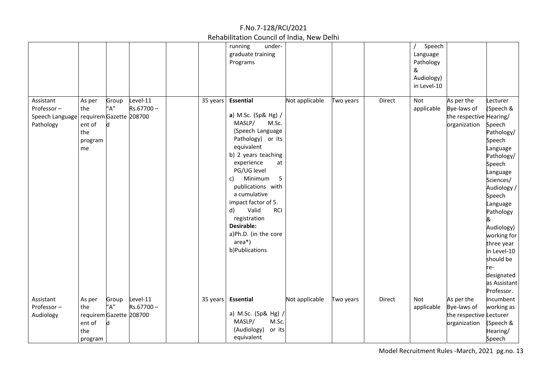|                                                                                 |                                                                      |                                    |                       |          | under-<br>running<br>graduate training<br>Programs                                                                                                                                                                                                                                                                                                  |                                |                |           |        | Speech<br>Language<br>Pathology<br>&<br>Audiology)<br>in Level-10 |                                                                      |                                                                                                                                                                                                                                                                                                       |
|---------------------------------------------------------------------------------|----------------------------------------------------------------------|------------------------------------|-----------------------|----------|-----------------------------------------------------------------------------------------------------------------------------------------------------------------------------------------------------------------------------------------------------------------------------------------------------------------------------------------------------|--------------------------------|----------------|-----------|--------|-------------------------------------------------------------------|----------------------------------------------------------------------|-------------------------------------------------------------------------------------------------------------------------------------------------------------------------------------------------------------------------------------------------------------------------------------------------------|
| Assistant<br>Professor-<br>Speech Language requirem Gazette 208700<br>Pathology | As per<br>the<br>ent of<br>the<br>program<br>me                      | Group<br>"A"<br>d                  | Level-11<br>Rs.67700- | 35 years | <b>Essential</b><br>a) M.Sc. (Sp& Hg) /<br>MASLP/<br>(Speech Language<br>Pathology) or its<br>equivalent<br>b) 2 years teaching<br>experience<br>PG/UG level<br>Minimum<br>C)<br>publications with<br>a cumulative<br>impact factor of 5.<br>Valid<br>d)<br>registration<br><b>Desirable:</b><br>a)Ph.D. (in the core<br>$area*)$<br>b)Publications | M.Sc.<br>at<br>5<br><b>RCI</b> | Not applicable | Two years | Direct | Not<br>applicable                                                 | As per the<br>Bye-laws of<br>the respective Hearing/<br>organization | Lecturer<br>(Speech &<br>Speech<br>Pathology/<br>Speech<br>Language<br>Pathology/<br>Speech<br>Language<br>Sciences/<br>Audiology /<br>Speech<br>Language<br>Pathology<br>&<br>Audiology)<br>working for<br>three year<br>in Level-10<br>should be<br>re-<br>designated<br>as Assistant<br>Professor. |
| Assistant<br>Professor-<br>Audiology                                            | As per<br>the<br>requirem Gazette 208700<br>ent of<br>the<br>program | Group<br>$^{\prime\prime}$ A"<br>d | Level-11<br>Rs.67700- | 35 years | Essential<br>a) M.Sc. (Sp& Hg) /<br>MASLP/<br>(Audiology)<br>equivalent                                                                                                                                                                                                                                                                             | M.Sc.<br>or its                | Not applicable | Two years | Direct | Not<br>applicable                                                 | As per the<br>Bye-laws of<br>the respective Lecturer<br>organization | Incumbent<br>working as<br>(Speech &<br>Hearing/<br>Speech                                                                                                                                                                                                                                            |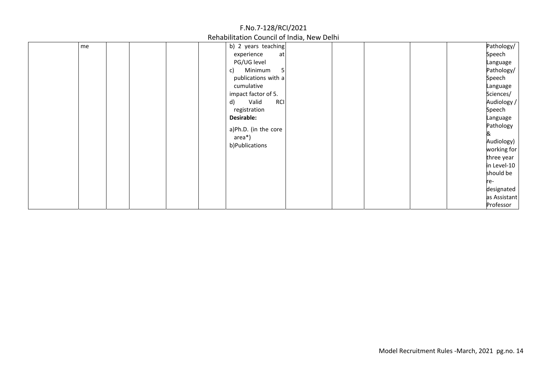|    | F.NO./-128/RCI/2021                                                                                                                                                                                                                                      |                                                                                                                                                                                                                                                                   |
|----|----------------------------------------------------------------------------------------------------------------------------------------------------------------------------------------------------------------------------------------------------------|-------------------------------------------------------------------------------------------------------------------------------------------------------------------------------------------------------------------------------------------------------------------|
|    | Rehabilitation Council of India, New Delhi                                                                                                                                                                                                               |                                                                                                                                                                                                                                                                   |
| me | b) 2 years teaching<br>experience<br>at<br>PG/UG level<br>Minimum<br>c)<br>-5<br>publications with a<br>cumulative<br>impact factor of 5.<br>Valid<br><b>RCI</b><br>d)<br>registration<br>Desirable:<br>a)Ph.D. (in the core<br>area*)<br>b)Publications | Pathology/<br>Speech<br>Language<br>Pathology/<br>Speech<br>Language<br>Sciences/<br>Audiology /<br>Speech<br>Language<br>Pathology<br>&<br>Audiology)<br>working for<br>three year<br>in Level-10<br>should be<br>re-<br>designated<br>as Assistant<br>Professor |

 $5.88/12.8/12.8$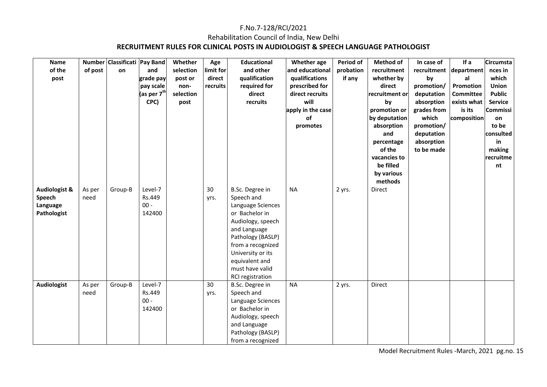### F.No.7-128/RCI/2021 Rehabilitation Council of India, New Delhi **RECRUITMENT RULES FOR CLINICAL POSTS IN AUDIOLOGIST & SPEECH LANGUAGE PATHOLOGIST**

| <b>Name</b><br>of the<br>post                                 | of post        | Number Classificati Pay Band<br>on | and<br>grade pay<br>pay scale<br>(as per $7^{\text{th}}$<br>CPC) | Whether<br>selection<br>post or<br>non-<br>selection<br>post | Age<br>limit for<br>direct<br>recruits | <b>Educational</b><br>and other<br>qualification<br>required for<br>direct<br>recruits                                                                                                                                            | Whether age<br>and educational<br>qualifications<br>prescribed for<br>direct recruits<br>will<br>apply in the case<br>of<br>promotes | Period of<br>probation<br>if any | <b>Method of</b><br>recruitment<br>whether by<br>direct<br>recruitment or<br>by<br>promotion or<br>by deputation<br>absorption<br>and<br>percentage<br>of the<br>vacancies to<br>be filled<br>by various<br>methods | In case of<br>recruitment<br>by<br>promotion/<br>deputation<br>absorption<br>grades from<br>which<br>promotion/<br>deputation<br>absorption<br>to be made | If a<br>department<br>al<br>Promotion<br><b>Committee</b><br>exists what<br>is its<br>composition | Circumsta<br>nces in<br>which<br><b>Union</b><br><b>Public</b><br><b>Service</b><br>Commissi<br>on<br>to be<br>consulted<br>in<br>making<br>recruitme<br>nt |
|---------------------------------------------------------------|----------------|------------------------------------|------------------------------------------------------------------|--------------------------------------------------------------|----------------------------------------|-----------------------------------------------------------------------------------------------------------------------------------------------------------------------------------------------------------------------------------|--------------------------------------------------------------------------------------------------------------------------------------|----------------------------------|---------------------------------------------------------------------------------------------------------------------------------------------------------------------------------------------------------------------|-----------------------------------------------------------------------------------------------------------------------------------------------------------|---------------------------------------------------------------------------------------------------|-------------------------------------------------------------------------------------------------------------------------------------------------------------|
| <b>Audiologist &amp;</b><br>Speech<br>Language<br>Pathologist | As per<br>need | Group-B                            | Level-7<br>Rs.449<br>$00 -$<br>142400                            |                                                              | 30<br>yrs.                             | B.Sc. Degree in<br>Speech and<br>Language Sciences<br>or Bachelor in<br>Audiology, speech<br>and Language<br>Pathology (BASLP)<br>from a recognized<br>University or its<br>equivalent and<br>must have valid<br>RCI registration | <b>NA</b>                                                                                                                            | 2 yrs.                           | Direct                                                                                                                                                                                                              |                                                                                                                                                           |                                                                                                   |                                                                                                                                                             |
| <b>Audiologist</b>                                            | As per<br>need | Group-B                            | Level-7<br>Rs.449<br>$00 -$<br>142400                            |                                                              | 30<br>yrs.                             | B.Sc. Degree in<br>Speech and<br>Language Sciences<br>or Bachelor in<br>Audiology, speech<br>and Language<br>Pathology (BASLP)<br>from a recognized                                                                               | <b>NA</b>                                                                                                                            | 2 yrs.                           | Direct                                                                                                                                                                                                              |                                                                                                                                                           |                                                                                                   |                                                                                                                                                             |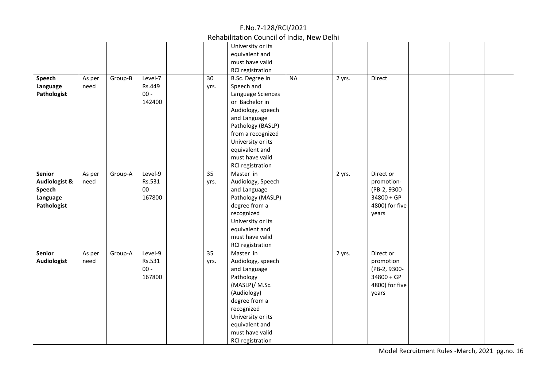Rehabilitation Council of India, New Delhi

| Speech<br>Language<br>Pathologist                                              | As per<br>need | Group-B | Level-7<br>Rs.449<br>$00 -$<br>142400 | 30<br>yrs. | University or its<br>equivalent and<br>must have valid<br>RCI registration<br>B.Sc. Degree in<br>Speech and<br>Language Sciences<br>or Bachelor in<br>Audiology, speech<br>and Language<br>Pathology (BASLP)<br>from a recognized<br>University or its<br>equivalent and<br>must have valid<br>RCI registration | <b>NA</b> | 2 yrs. | Direct                                                                             |  |  |
|--------------------------------------------------------------------------------|----------------|---------|---------------------------------------|------------|-----------------------------------------------------------------------------------------------------------------------------------------------------------------------------------------------------------------------------------------------------------------------------------------------------------------|-----------|--------|------------------------------------------------------------------------------------|--|--|
| <b>Senior</b><br><b>Audiologist &amp;</b><br>Speech<br>Language<br>Pathologist | As per<br>need | Group-A | Level-9<br>Rs.531<br>$00 -$<br>167800 | 35<br>yrs. | Master in<br>Audiology, Speech<br>and Language<br>Pathology (MASLP)<br>degree from a<br>recognized<br>University or its<br>equivalent and<br>must have valid<br>RCI registration                                                                                                                                |           | 2 yrs. | Direct or<br>promotion-<br>(PB-2, 9300-<br>$34800 + GP$<br>4800) for five<br>years |  |  |
| <b>Senior</b><br><b>Audiologist</b>                                            | As per<br>need | Group-A | Level-9<br>Rs.531<br>$00 -$<br>167800 | 35<br>yrs. | Master in<br>Audiology, speech<br>and Language<br>Pathology<br>(MASLP)/ M.Sc.<br>(Audiology)<br>degree from a<br>recognized<br>University or its<br>equivalent and<br>must have valid<br><b>RCI registration</b>                                                                                                |           | 2 yrs. | Direct or<br>promotion<br>(PB-2, 9300-<br>$34800 + GP$<br>4800) for five<br>years  |  |  |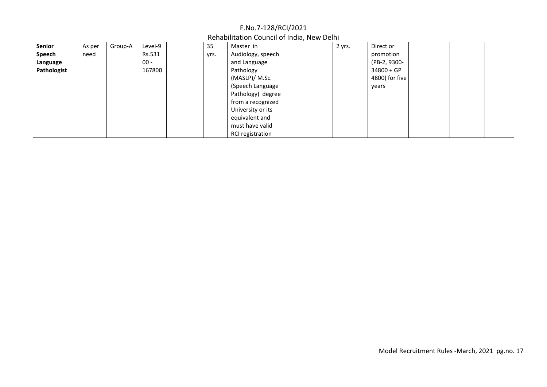| Senior      | As per | Group-A | Level-9 | 35   | Master in         | 2 yrs. | Direct or      |  |
|-------------|--------|---------|---------|------|-------------------|--------|----------------|--|
| Speech      | need   |         | Rs.531  | yrs. | Audiology, speech |        | promotion      |  |
| Language    |        |         | $00 -$  |      | and Language      |        | (PB-2, 9300-   |  |
| Pathologist |        |         | 167800  |      | Pathology         |        | $34800 + GP$   |  |
|             |        |         |         |      | (MASLP)/ M.Sc.    |        | 4800) for five |  |
|             |        |         |         |      | (Speech Language  |        | years          |  |
|             |        |         |         |      | Pathology) degree |        |                |  |
|             |        |         |         |      | from a recognized |        |                |  |
|             |        |         |         |      | University or its |        |                |  |
|             |        |         |         |      | equivalent and    |        |                |  |
|             |        |         |         |      | must have valid   |        |                |  |
|             |        |         |         |      | RCI registration  |        |                |  |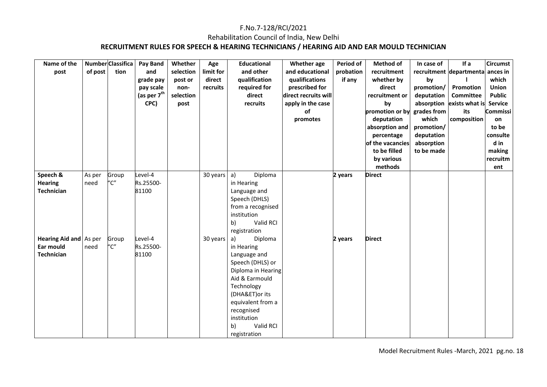### Rehabilitation Council of India, New Delhi

### **RECRUITMENT RULES FOR SPEECH & HEARING TECHNICIANS / HEARING AID AND EAR MOULD TECHNICIAN**

| Name of the<br>post                                      | of post        | Number Classifica<br>tion | Pay Band<br>and<br>grade pay<br>pay scale<br>(as per $7^{\text{th}}$<br>CPC) | Whether<br>selection<br>post or<br>non-<br>selection<br>post | Age<br>limit for<br>direct<br>recruits | <b>Educational</b><br>and other<br>qualification<br>required for<br>direct<br>recruits                                                                                                                                        | Whether age<br>and educational<br>qualifications<br>prescribed for<br>direct recruits will<br>apply in the case<br>of<br>promotes | Period of<br>probation<br>if any | <b>Method of</b><br>recruitment<br>whether by<br>direct<br>recruitment or<br>by<br>promotion or by<br>deputation<br>absorption and<br>percentage<br>of the vacancies<br>to be filled<br>by various<br>methods | In case of<br>by<br>promotion/<br>deputation<br>grades from<br>which<br>promotion/<br>deputation<br>absorption<br>to be made | If a<br>recruitment departmenta ances in<br>Promotion<br><b>Committee</b><br>absorption exists what is<br>its<br>composition | <b>Circumst</b><br>which<br>Union<br><b>Public</b><br><b>Service</b><br>Commissi<br>on<br>to be<br>consulte<br>d in<br>making<br>recruitm<br>ent |
|----------------------------------------------------------|----------------|---------------------------|------------------------------------------------------------------------------|--------------------------------------------------------------|----------------------------------------|-------------------------------------------------------------------------------------------------------------------------------------------------------------------------------------------------------------------------------|-----------------------------------------------------------------------------------------------------------------------------------|----------------------------------|---------------------------------------------------------------------------------------------------------------------------------------------------------------------------------------------------------------|------------------------------------------------------------------------------------------------------------------------------|------------------------------------------------------------------------------------------------------------------------------|--------------------------------------------------------------------------------------------------------------------------------------------------|
| Speech &<br><b>Hearing</b><br><b>Technician</b>          | As per<br>need | Group<br>"C"              | Level-4<br>Rs.25500-<br>81100                                                |                                                              | 30 years                               | a)<br>Diploma<br>in Hearing<br>Language and<br>Speech (DHLS)<br>from a recognised<br>institution<br>Valid RCI<br>b)<br>registration                                                                                           |                                                                                                                                   | 2 years                          | <b>Direct</b>                                                                                                                                                                                                 |                                                                                                                              |                                                                                                                              |                                                                                                                                                  |
| Hearing Aid and As per<br>Ear mould<br><b>Technician</b> | need           | Group<br>"C"              | Level-4<br>Rs.25500-<br>81100                                                |                                                              | 30 years                               | a)<br>Diploma<br>in Hearing<br>Language and<br>Speech (DHLS) or<br>Diploma in Hearing<br>Aid & Earmould<br>Technology<br>(DHA&ET) or its<br>equivalent from a<br>recognised<br>institution<br>Valid RCI<br>b)<br>registration |                                                                                                                                   | 2 years                          | <b>Direct</b>                                                                                                                                                                                                 |                                                                                                                              |                                                                                                                              |                                                                                                                                                  |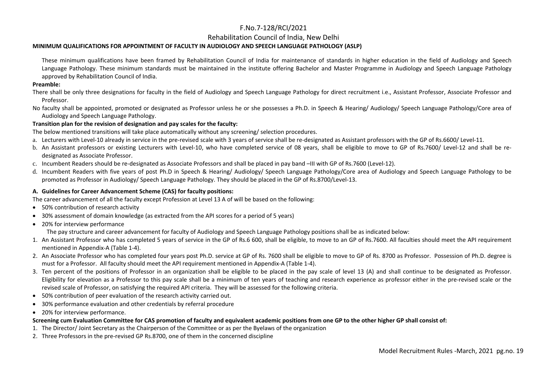Rehabilitation Council of India, New Delhi

#### **MINIMUM QUALIFICATIONS FOR APPOINTMENT OF FACULTY IN AUDIOLOGY AND SPEECH LANGUAGE PATHOLOGY (ASLP)**

 These minimum qualifications have been framed by Rehabilitation Council of India for maintenance of standards in higher education in the field of Audiology and Speech Language Pathology. These minimum standards must be maintained in the institute offering Bachelor and Master Programme in Audiology and Speech Language Pathology approved by Rehabilitation Council of India.

#### **Preamble:**

There shall be only three designations for faculty in the field of Audiology and Speech Language Pathology for direct recruitment i.e., Assistant Professor, Associate Professor and Professor.

No faculty shall be appointed, promoted or designated as Professor unless he or she possesses a Ph.D. in Speech & Hearing/ Audiology/ Speech Language Pathology/Core area of Audiology and Speech Language Pathology.

#### **Transition plan for the revision of designation and pay scales for the faculty:**

The below mentioned transitions will take place automatically without any screening/ selection procedures.

- a. Lecturers with Level-10 already in service in the pre-revised scale with 3 years of service shall be re-designated as Assistant professors with the GP of Rs.6600/ Level-11.
- b. An Assistant professors or existing Lecturers with Level-10, who have completed service of 08 years, shall be eligible to move to GP of Rs.7600/ Level-12 and shall be redesignated as Associate Professor.
- c. Incumbent Readers should be re-designated as Associate Professors and shall be placed in pay band –III with GP of Rs.7600 (Level-12).
- d. Incumbent Readers with five years of post Ph.D in Speech & Hearing/ Audiology/ Speech Language Pathology/Core area of Audiology and Speech Language Pathology to be promoted as Professor in Audiology/ Speech Language Pathology. They should be placed in the GP of Rs.8700/Level-13.

#### **A. Guidelines for Career Advancement Scheme (CAS) for faculty positions:**

The career advancement of all the faculty except Profession at Level 13 A of will be based on the following:

- 50% contribution of research activity
- 30% assessment of domain knowledge (as extracted from the API scores for a period of 5 years)
- 20% for interview performance

The pay structure and career advancement for faculty of Audiology and Speech Language Pathology positions shall be as indicated below:

- 1. An Assistant Professor who has completed 5 years of service in the GP of Rs.6 600, shall be eligible, to move to an GP of Rs.7600. All faculties should meet the API requirement mentioned in Appendix-A (Table 1-4).
- 2. An Associate Professor who has completed four years post Ph.D. service at GP of Rs. 7600 shall be eligible to move to GP of Rs. 8700 as Professor. Possession of Ph.D. degree is must for a Professor. All faculty should meet the API requirement mentioned in Appendix-A (Table 1-4).
- 3. Ten percent of the positions of Professor in an organization shall be eligible to be placed in the pay scale of level 13 (A) and shall continue to be designated as Professor. Eligibility for elevation as a Professor to this pay scale shall be a minimum of ten years of teaching and research experience as professor either in the pre-revised scale or the revised scale of Professor, on satisfying the required API criteria. They will be assessed for the following criteria.
- 50% contribution of peer evaluation of the research activity carried out.
- •30% performance evaluation and other credentials by referral procedure
- 20% for interview performance.

#### **Screening cum Evaluation Committee for CAS promotion of faculty and equivalent academic positions from one GP to the other higher GP shall consist of:**

- 1. The Director/ Joint Secretary as the Chairperson of the Committee or as per the Byelaws of the organization
- 2. Three Professors in the pre-revised GP Rs.8700, one of them in the concerned discipline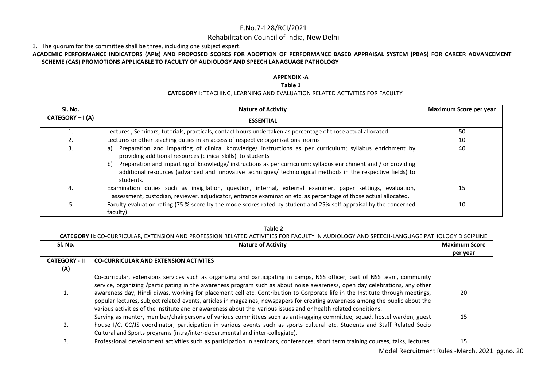#### Rehabilitation Council of India, New Delhi

3. The quorum for the committee shall be three, including one subject expert.

#### **ACADEMIC PERFORMANCE INDICATORS (APIs) AND PROPOSED SCORES FOR ADOPTION OF PERFORMANCE BASED APPRAISAL SYSTEM (PBAS) FOR CAREER ADVANCEMENT SCHEME (CAS) PROMOTIONS APPLICABLE TO FACULTY OF AUDIOLOGY AND SPEECH LANAGUAGE PATHOLOGY**

#### **APPENDIX -A**

#### **Table 1**

#### **CATEGORY I:** TEACHING, LEARNING AND EVALUATION RELATED ACTIVITIES FOR FACULTY

| Sl. No.          | <b>Nature of Activity</b>                                                                                                                                                                                                                                                                                                                                                                                                          | Maximum Score per year |
|------------------|------------------------------------------------------------------------------------------------------------------------------------------------------------------------------------------------------------------------------------------------------------------------------------------------------------------------------------------------------------------------------------------------------------------------------------|------------------------|
| CATEGORY - I (A) | <b>ESSENTIAL</b>                                                                                                                                                                                                                                                                                                                                                                                                                   |                        |
|                  | Lectures, Seminars, tutorials, practicals, contact hours undertaken as percentage of those actual allocated                                                                                                                                                                                                                                                                                                                        | 50                     |
|                  | Lectures or other teaching duties in an access of respective organizations norms                                                                                                                                                                                                                                                                                                                                                   | 10                     |
| 3.               | Preparation and imparting of clinical knowledge/ instructions as per curriculum; syllabus enrichment by<br>a)<br>providing additional resources (clinical skills) to students<br>Preparation and imparting of knowledge/ instructions as per curriculum; syllabus enrichment and / or providing<br>b)<br>additional resources (advanced and innovative techniques/ technological methods in the respective fields) to<br>students. | 40                     |
| 4.               | Examination duties such as invigilation, question, internal, external examiner, paper settings, evaluation,<br>assessment, custodian, reviewer, adjudicator, entrance examination etc. as percentage of those actual allocated.                                                                                                                                                                                                    | 15                     |
|                  | Faculty evaluation rating (75 % score by the mode scores rated by student and 25% self-appraisal by the concerned<br>faculty)                                                                                                                                                                                                                                                                                                      | 10                     |

#### **Table 2**

#### **CATEGORY II:** CO-CURRICULAR, EXTENSION AND PROFESSION RELATED ACTIVITIES FOR FACULTY IN AUDIOLOGY AND SPEECH-LANGUAGE PATHOLOGY DISCIPLINE

| SI. No.              | <b>Nature of Activity</b>                                                                                                                                                                                                                                                                                                                                                                                                                                                                                                                                                                                                                      | <b>Maximum Score</b> |
|----------------------|------------------------------------------------------------------------------------------------------------------------------------------------------------------------------------------------------------------------------------------------------------------------------------------------------------------------------------------------------------------------------------------------------------------------------------------------------------------------------------------------------------------------------------------------------------------------------------------------------------------------------------------------|----------------------|
|                      |                                                                                                                                                                                                                                                                                                                                                                                                                                                                                                                                                                                                                                                | per year             |
| <b>CATEGORY - II</b> | <b>CO-CURRICULAR AND EXTENSION ACTIVITES</b>                                                                                                                                                                                                                                                                                                                                                                                                                                                                                                                                                                                                   |                      |
| (A)                  |                                                                                                                                                                                                                                                                                                                                                                                                                                                                                                                                                                                                                                                |                      |
| 1.                   | Co-curricular, extensions services such as organizing and participating in camps, NSS officer, part of NSS team, community<br>service, organizing /participating in the awareness program such as about noise awareness, open day celebrations, any other<br>awareness day, Hindi diwas, working for placement cell etc. Contribution to Corporate life in the Institute through meetings,<br>popular lectures, subject related events, articles in magazines, newspapers for creating awareness among the public about the<br>various activities of the Institute and or awareness about the various issues and or health related conditions. | 20                   |
| 2.                   | Serving as mentor, member/chairpersons of various committees such as anti-ragging committee, squad, hostel warden, guest  <br>house I/C, CC/JS coordinator, participation in various events such as sports cultural etc. Students and Staff Related Socio<br>Cultural and Sports programs (intra/inter-departmental and inter-collegiate).                                                                                                                                                                                                                                                                                                     | 15                   |
|                      | Professional development activities such as participation in seminars, conferences, short term training courses, talks, lectures.                                                                                                                                                                                                                                                                                                                                                                                                                                                                                                              | 15                   |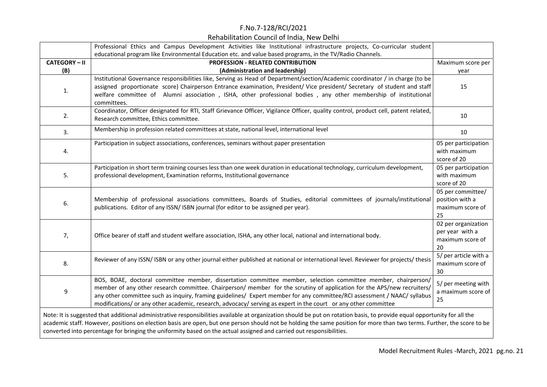|                    | Professional Ethics and Campus Development Activities like Institutional infrastructure projects, Co-curricular student                                                                                                                                                                                                                                                                                                                                                                 |                                                                  |
|--------------------|-----------------------------------------------------------------------------------------------------------------------------------------------------------------------------------------------------------------------------------------------------------------------------------------------------------------------------------------------------------------------------------------------------------------------------------------------------------------------------------------|------------------------------------------------------------------|
|                    | educational program like Environmental Education etc. and value based programs, in the TV/Radio Channels.                                                                                                                                                                                                                                                                                                                                                                               |                                                                  |
| <b>CATEGORY-II</b> | PROFESSION - RELATED CONTRIBUTION                                                                                                                                                                                                                                                                                                                                                                                                                                                       | Maximum score per                                                |
| (B)                | (Administration and leadership)                                                                                                                                                                                                                                                                                                                                                                                                                                                         | year                                                             |
| 1.                 | Institutional Governance responsibilities like, Serving as Head of Department/section/Academic coordinator / in charge (to be<br>assigned proportionate score) Chairperson Entrance examination, President/ Vice president/ Secretary of student and staff<br>welfare committee of Alumni association, ISHA, other professional bodies, any other membership of institutional<br>committees.                                                                                            | 15                                                               |
| 2.                 | Coordinator, Officer designated for RTI, Staff Grievance Officer, Vigilance Officer, quality control, product cell, patent related,<br>Research committee, Ethics committee.                                                                                                                                                                                                                                                                                                            | 10                                                               |
| 3.                 | Membership in profession related committees at state, national level, international level                                                                                                                                                                                                                                                                                                                                                                                               | 10                                                               |
| 4.                 | Participation in subject associations, conferences, seminars without paper presentation                                                                                                                                                                                                                                                                                                                                                                                                 | 05 per participation<br>with maximum<br>score of 20              |
| 5.                 | Participation in short term training courses less than one week duration in educational technology, curriculum development,<br>professional development, Examination reforms, Institutional governance                                                                                                                                                                                                                                                                                  | 05 per participation<br>with maximum<br>score of 20              |
| 6.                 | Membership of professional associations committees, Boards of Studies, editorial committees of journals/institutional<br>publications. Editor of any ISSN/ ISBN journal (for editor to be assigned per year).                                                                                                                                                                                                                                                                           | 05 per committee/<br>position with a<br>maximum score of<br>25   |
| 7,                 | Office bearer of staff and student welfare association, ISHA, any other local, national and international body.                                                                                                                                                                                                                                                                                                                                                                         | 02 per organization<br>per year with a<br>maximum score of<br>20 |
| 8.                 | Reviewer of any ISSN/ISBN or any other journal either published at national or international level. Reviewer for projects/thesis                                                                                                                                                                                                                                                                                                                                                        | 5/ per article with a<br>maximum score of<br>30                  |
| 9                  | BOS, BOAE, doctoral committee member, dissertation committee member, selection committee member, chairperson,<br>member of any other research committee. Chairperson/ member for the scrutiny of application for the APS/new recruiters/<br>any other committee such as inquiry, framing guidelines/ Expert member for any committee/RCI assessment / NAAC/ syllabus<br>modifications/ or any other academic, research, advocacy/ serving as expert in the court or any other committee | 5/ per meeting with<br>a maximum score of<br>25                  |
|                    | Note: It is suggested that additional administrative responsibilities available at organization should be put on rotation basis, to provide equal opportunity for all the<br>academic staff. However, positions on election basis are open, but one person should not be holding the same position for more than two terms. Further, the score to be<br>converted into percentage for bringing the uniformity based on the actual assigned and carried out responsibilities.            |                                                                  |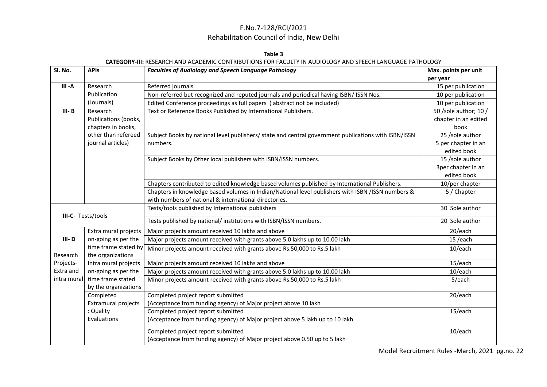#### **Table 3**

#### **CATEGORY-III:** RESEARCH AND ACADEMIC CONTRIBUTIONS FOR FACULTY IN AUDIOLOGY AND SPEECH LANGUAGE PATHOLOGY

| SI. No.     | <b>APIs</b>                | <b>Faculties of Audiology and Speech Language Pathology</b>                                          | Max. points per unit  |
|-------------|----------------------------|------------------------------------------------------------------------------------------------------|-----------------------|
|             |                            |                                                                                                      | per year              |
| $III - A$   | Research                   | Referred journals                                                                                    | 15 per publication    |
|             | Publication                | Non-referred but recognized and reputed journals and periodical having ISBN/ ISSN Nos.               | 10 per publication    |
|             | (Journals)                 | Edited Conference proceedings as full papers (abstract not be included)                              | 10 per publication    |
| $III - B$   | Research                   | Text or Reference Books Published by International Publishers.                                       | 50 /sole author; 10 / |
|             | Publications (books,       |                                                                                                      | chapter in an edited  |
|             | chapters in books,         |                                                                                                      | book                  |
|             | other than refereed        | Subject Books by national level publishers/ state and central government publications with ISBN/ISSN | 25 /sole author       |
|             | journal articles)          | numbers.                                                                                             | 5 per chapter in an   |
|             |                            |                                                                                                      | edited book           |
|             |                            | Subject Books by Other local publishers with ISBN/ISSN numbers.                                      | 15 /sole author       |
|             |                            |                                                                                                      | 3per chapter in an    |
|             |                            |                                                                                                      | edited book           |
|             |                            | Chapters contributed to edited knowledge based volumes published by International Publishers.        | 10/per chapter        |
|             |                            | Chapters in knowledge based volumes in Indian/National level publishers with ISBN /ISSN numbers &    | 5 / Chapter           |
|             |                            | with numbers of national & international directories.                                                |                       |
|             | III-C- Tests/tools         | Tests/tools published by International publishers                                                    | 30 Sole author        |
|             |                            | Tests published by national/ institutions with ISBN/ISSN numbers.                                    | 20 Sole author        |
|             | Extra mural projects       | Major projects amount received 10 lakhs and above                                                    | 20/each               |
| $III - D$   | on-going as per the        | Major projects amount received with grants above 5.0 lakhs up to 10.00 lakh                          | 15/each               |
|             | time frame stated by       | Minor projects amount received with grants above Rs.50,000 to Rs.5 lakh                              | 10/each               |
| Research    | the organizations          |                                                                                                      |                       |
| Projects-   | Intra mural projects       | Major projects amount received 10 lakhs and above                                                    | 15/each               |
| Extra and   | on-going as per the        | Major projects amount received with grants above 5.0 lakhs up to 10.00 lakh                          | 10/each               |
| intra mural | time frame stated          | Minor projects amount received with grants above Rs.50,000 to Rs.5 lakh                              | 5/each                |
|             | by the organizations       |                                                                                                      |                       |
|             | Completed                  | Completed project report submitted                                                                   | 20/each               |
|             | <b>Extramural projects</b> | (Acceptance from funding agency) of Major project above 10 lakh                                      |                       |
|             | : Quality                  | Completed project report submitted                                                                   | 15/each               |
|             | Evaluations                | (Acceptance from funding agency) of Major project above 5 lakh up to 10 lakh                         |                       |
|             |                            | Completed project report submitted                                                                   | 10/each               |
|             |                            | (Acceptance from funding agency) of Major project above 0.50 up to 5 lakh                            |                       |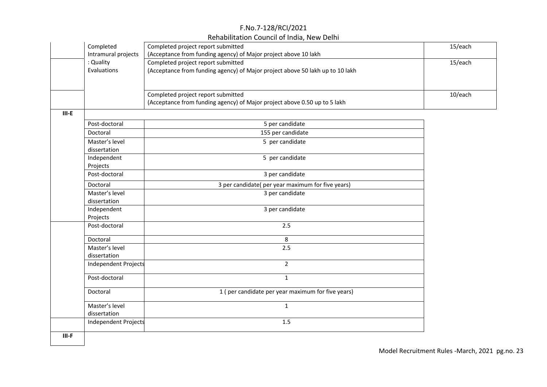| Completed            | Completed project report submitted |                                                                               | 15/each |
|----------------------|------------------------------------|-------------------------------------------------------------------------------|---------|
| Intramural projects  |                                    | (Acceptance from funding agency) of Major project above 10 lakh               |         |
| : Quality            | Completed project report submitted |                                                                               | 15/each |
| Evaluations          |                                    | (Acceptance from funding agency) of Major project above 50 lakh up to 10 lakh |         |
|                      |                                    |                                                                               |         |
|                      |                                    |                                                                               |         |
|                      | Completed project report submitted |                                                                               | 10/each |
|                      |                                    | (Acceptance from funding agency) of Major project above 0.50 up to 5 lakh     |         |
| $III-E$              |                                    |                                                                               |         |
| Post-doctoral        |                                    | 5 per candidate                                                               |         |
| Doctoral             |                                    | 155 per candidate                                                             |         |
| Master's level       |                                    | 5 per candidate                                                               |         |
| dissertation         |                                    |                                                                               |         |
| Independent          |                                    | 5 per candidate                                                               |         |
| Projects             |                                    |                                                                               |         |
| Post-doctoral        |                                    | 3 per candidate                                                               |         |
| Doctoral             |                                    | 3 per candidate( per year maximum for five years)                             |         |
| Master's level       |                                    | 3 per candidate                                                               |         |
| dissertation         |                                    |                                                                               |         |
| Independent          |                                    | 3 per candidate                                                               |         |
| Projects             |                                    |                                                                               |         |
| Post-doctoral        |                                    | 2.5                                                                           |         |
| Doctoral             |                                    | 8                                                                             |         |
| Master's level       |                                    | 2.5                                                                           |         |
| dissertation         |                                    |                                                                               |         |
| Independent Projects |                                    | $\overline{2}$                                                                |         |
| Post-doctoral        |                                    | $\mathbf{1}$                                                                  |         |
| Doctoral             |                                    | 1 (per candidate per year maximum for five years)                             |         |
| Master's level       |                                    | $\mathbf{1}$                                                                  |         |
| dissertation         |                                    |                                                                               |         |
| Independent Projects |                                    | 1.5                                                                           |         |
| $III-F$              |                                    |                                                                               |         |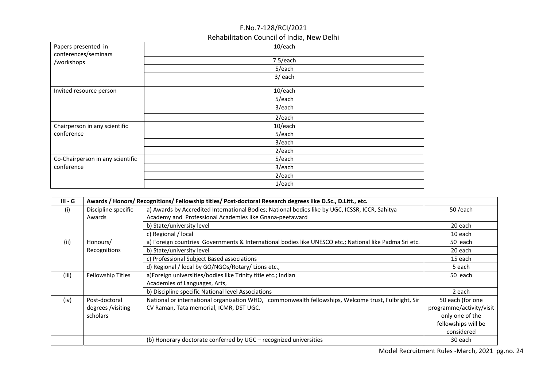| Papers presented in<br>conferences/seminars | 10/each   |
|---------------------------------------------|-----------|
| /workshops                                  | 7.5/each  |
|                                             | 5/each    |
|                                             | 3/ each   |
| Invited resource person                     | 10/each   |
|                                             | 5/each    |
|                                             | 3/each    |
|                                             | $2/$ each |
| Chairperson in any scientific               | 10/each   |
| conference                                  | 5/each    |
|                                             | 3/each    |
|                                             | $2/$ each |
| Co-Chairperson in any scientific            | 5/each    |
| conference                                  | 3/each    |
|                                             | $2/$ each |
|                                             | 1/each    |

| $III - G$ | Awards / Honors/ Recognitions/ Fellowship titles/ Post-doctoral Research degrees like D.Sc., D.Litt., etc. |                                                                                                        |                          |  |  |  |  |  |
|-----------|------------------------------------------------------------------------------------------------------------|--------------------------------------------------------------------------------------------------------|--------------------------|--|--|--|--|--|
| (i)       | Discipline specific                                                                                        | a) Awards by Accredited International Bodies; National bodies like by UGC, ICSSR, ICCR, Sahitya        | 50 /each                 |  |  |  |  |  |
|           | Awards                                                                                                     | Academy and Professional Academies like Gnana-peetaward                                                |                          |  |  |  |  |  |
|           |                                                                                                            | b) State/university level                                                                              | 20 each                  |  |  |  |  |  |
|           |                                                                                                            | c) Regional / local                                                                                    | 10 each                  |  |  |  |  |  |
| (ii)      | Honours/                                                                                                   | a) Foreign countries Governments & International bodies like UNESCO etc.; National like Padma Sri etc. | 50 each                  |  |  |  |  |  |
|           | Recognitions                                                                                               | b) State/university level                                                                              | 20 each                  |  |  |  |  |  |
|           |                                                                                                            | c) Professional Subject Based associations                                                             | 15 each                  |  |  |  |  |  |
|           |                                                                                                            | d) Regional / local by GO/NGOs/Rotary/ Lions etc.,                                                     | 5 each                   |  |  |  |  |  |
| (iii)     | Fellowship Titles                                                                                          | a)Foreign universities/bodies like Trinity title etc.; Indian                                          | 50 each                  |  |  |  |  |  |
|           |                                                                                                            | Academies of Languages, Arts,                                                                          |                          |  |  |  |  |  |
|           |                                                                                                            | b) Discipline specific National level Associations                                                     | 2 each                   |  |  |  |  |  |
| (iv)      | Post-doctoral                                                                                              | National or international organization WHO, commonwealth fellowships, Welcome trust, Fulbright, Sir    | 50 each (for one         |  |  |  |  |  |
|           | degrees /visiting                                                                                          | CV Raman, Tata memorial, ICMR, DST UGC.                                                                | programme/activity/visit |  |  |  |  |  |
|           | scholars                                                                                                   |                                                                                                        | only one of the          |  |  |  |  |  |
|           |                                                                                                            |                                                                                                        | fellowships will be      |  |  |  |  |  |
|           |                                                                                                            |                                                                                                        | considered               |  |  |  |  |  |
|           |                                                                                                            | (b) Honorary doctorate conferred by UGC - recognized universities                                      | 30 each                  |  |  |  |  |  |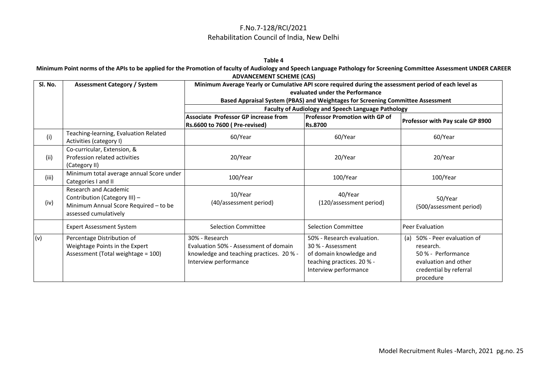#### **Table 4**

**Minimum Point norms of the APIs to be applied for the Promotion of faculty of Audiology and Speech Language Pathology for Screening Committee Assessment UNDER CAREER ADVANCEMENT SCHEME (CAS)**

| Sl. No. | <b>Assessment Category / System</b>                                                                                      | Minimum Average Yearly or Cumulative API score required during the assessment period of each level as                        |                                                                                                                                   |                                                                                                                                   |  |  |  |  |
|---------|--------------------------------------------------------------------------------------------------------------------------|------------------------------------------------------------------------------------------------------------------------------|-----------------------------------------------------------------------------------------------------------------------------------|-----------------------------------------------------------------------------------------------------------------------------------|--|--|--|--|
|         |                                                                                                                          | evaluated under the Performance                                                                                              |                                                                                                                                   |                                                                                                                                   |  |  |  |  |
|         |                                                                                                                          | Based Appraisal System (PBAS) and Weightages for Screening Committee Assessment                                              |                                                                                                                                   |                                                                                                                                   |  |  |  |  |
|         |                                                                                                                          |                                                                                                                              | <b>Faculty of Audiology and Speech Language Pathology</b>                                                                         |                                                                                                                                   |  |  |  |  |
|         |                                                                                                                          | Associate Professor GP increase from                                                                                         | <b>Professor Promotion with GP of</b>                                                                                             |                                                                                                                                   |  |  |  |  |
|         |                                                                                                                          | Rs.6600 to 7600 (Pre-revised)                                                                                                | <b>Rs.8700</b>                                                                                                                    | Professor with Pay scale GP 8900                                                                                                  |  |  |  |  |
| (i)     | Teaching-learning, Evaluation Related<br>Activities (category I)                                                         | 60/Year                                                                                                                      | 60/Year                                                                                                                           | 60/Year                                                                                                                           |  |  |  |  |
| (ii)    | Co-curricular, Extension, &<br>Profession related activities<br>(Category II)                                            | 20/Year                                                                                                                      | 20/Year                                                                                                                           | 20/Year                                                                                                                           |  |  |  |  |
| (iii)   | Minimum total average annual Score under<br>Categories I and II                                                          | 100/Year                                                                                                                     | 100/Year                                                                                                                          | 100/Year                                                                                                                          |  |  |  |  |
| (iv)    | Research and Academic<br>Contribution (Category III) -<br>Minimum Annual Score Required - to be<br>assessed cumulatively | 10/Year<br>(40/assessment period)                                                                                            | 40/Year<br>(120/assessment period)                                                                                                | 50/Year<br>(500/assessment period)                                                                                                |  |  |  |  |
|         | <b>Expert Assessment System</b>                                                                                          | <b>Selection Committee</b>                                                                                                   | <b>Selection Committee</b>                                                                                                        | <b>Peer Evaluation</b>                                                                                                            |  |  |  |  |
| (v)     | Percentage Distribution of<br>Weightage Points in the Expert<br>Assessment (Total weightage = 100)                       | 30% - Research<br>Evaluation 50% - Assessment of domain<br>knowledge and teaching practices. 20 % -<br>Interview performance | 50% - Research evaluation.<br>30 % - Assessment<br>of domain knowledge and<br>teaching practices. 20 % -<br>Interview performance | 50% - Peer evaluation of<br>(a)<br>research.<br>50 % - Performance<br>evaluation and other<br>credential by referral<br>procedure |  |  |  |  |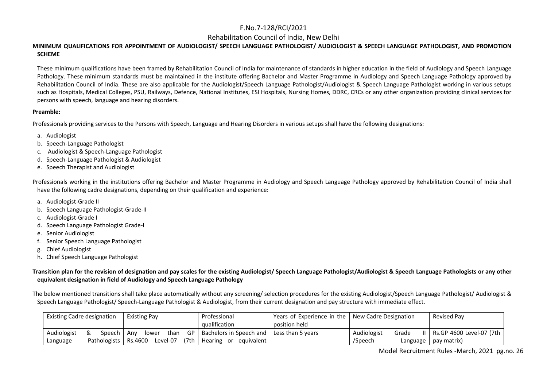Rehabilitation Council of India, New Delhi

#### **MINIMUM QUALIFICATIONS FOR APPOINTMENT OF AUDIOLOGIST/ SPEECH LANGUAGE PATHOLOGIST/ AUDIOLOGIST & SPEECH LANGUAGE PATHOLOGIST, AND PROMOTION SCHEME**

 These minimum qualifications have been framed by Rehabilitation Council of India for maintenance of standards in higher education in the field of Audiology and Speech Language Pathology. These minimum standards must be maintained in the institute offering Bachelor and Master Programme in Audiology and Speech Language Pathology approved by Rehabilitation Council of India. These are also applicable for the Audiologist/Speech Language Pathologist/Audiologist & Speech Language Pathologist working in various setups such as Hospitals, Medical Colleges, PSU, Railways, Defence, National Institutes, ESI Hospitals, Nursing Homes, DDRC, CRCs or any other organization providing clinical services for persons with speech, language and hearing disorders.

#### **Preamble:**

Professionals providing services to the Persons with Speech, Language and Hearing Disorders in various setups shall have the following designations:

- a. Audiologist
- b. Speech-Language Pathologist
- c. Audiologist & Speech-Language Pathologist
- d. Speech-Language Pathologist & Audiologist
- e. Speech Therapist and Audiologist

Professionals working in the institutions offering Bachelor and Master Programme in Audiology and Speech Language Pathology approved by Rehabilitation Council of India shall have the following cadre designations, depending on their qualification and experience:

- a. Audiologist-Grade II
- b. Speech Language Pathologist-Grade-II
- c. Audiologist-Grade I
- d. Speech Language Pathologist Grade-I
- e. Senior Audiologist
- f. Senior Speech Language Pathologist
- g. Chief Audiologist
- h. Chief Speech Language Pathologist

**Transition plan for the revision of designation and pay scales for the existing Audiologist/ Speech Language Pathologist/Audiologist & Speech Language Pathologists or any other equivalent designation in field of Audiology and Speech Language Pathology**

The below mentioned transitions shall take place automatically without any screening/ selection procedures for the existing Audiologist/Speech Language Pathologist/ Audiologist & Speech Language Pathologist/ Speech-Language Pathologist & Audiologist, from their current designation and pay structure with immediate effect.

| <b>Existing Cadre designation</b><br><b>Existing Pay</b> |              | Professional                | Years of Experience in the   New Cadre Designation |  | Revised Pay          |                               |
|----------------------------------------------------------|--------------|-----------------------------|----------------------------------------------------|--|----------------------|-------------------------------|
| qualification                                            |              | position held               |                                                    |  |                      |                               |
| Audiologist                                              | Speech I     | than GP I<br>Anv<br>lower   | Bachelors in Speech and   Less than 5 years        |  | Audiologist<br>Grade | II   Rs.GP 4600 Level-07 (7th |
| Language                                                 | Pathologists | Rs.4600<br>(7th<br>Level-07 | Hearing or<br>equivalent I                         |  | /Speech<br>Language  | pay matrix)                   |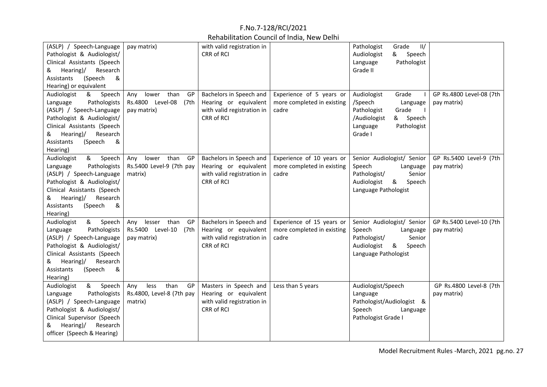| (ASLP) / Speech-Language<br>Pathologist & Audiologist/<br>Clinical Assistants (Speech<br>Hearing)/<br>Research<br>&<br>(Speech<br>Assistants<br>&<br>Hearing) or equivalent                                             | pay matrix)                                                          | with valid registration in<br>CRR of RCI                                                     |                                                                  | Pathologist<br>Grade<br>II/<br>Speech<br>Audiologist<br>&<br>Pathologist<br>Language<br>Grade II                                            |                                         |
|-------------------------------------------------------------------------------------------------------------------------------------------------------------------------------------------------------------------------|----------------------------------------------------------------------|----------------------------------------------------------------------------------------------|------------------------------------------------------------------|---------------------------------------------------------------------------------------------------------------------------------------------|-----------------------------------------|
| Audiologist<br>&<br>Speech<br>Language<br>Pathologists<br>(ASLP) / Speech-Language<br>Pathologist & Audiologist/<br>Clinical Assistants (Speech<br>Hearing)/<br>Research<br>&<br>(Speech<br>&<br>Assistants<br>Hearing) | lower than<br>GP<br>Any<br>Rs.4800 Level-08<br>(7th<br>pay matrix)   | Bachelors in Speech and<br>Hearing or equivalent<br>with valid registration in<br>CRR of RCI | Experience of 5 years or<br>more completed in existing<br>cadre  | Audiologist<br>Grade<br>/Speech<br>Language<br>Pathologist<br>Grade<br>/Audiologist<br>& Speech<br>Pathologist<br>Language<br>Grade I       | GP Rs.4800 Level-08 (7th<br>pay matrix) |
| Audiologist<br>&<br>Speech<br>Pathologists<br>Language<br>(ASLP) / Speech-Language<br>Pathologist & Audiologist/<br>Clinical Assistants (Speech<br>Hearing)/<br>Research<br>&<br>Assistants<br>(Speech<br>&<br>Hearing) | lower than GP<br>Any<br>Rs.5400 Level-9 (7th pay<br>matrix)          | Bachelors in Speech and<br>Hearing or equivalent<br>with valid registration in<br>CRR of RCI | Experience of 10 years or<br>more completed in existing<br>cadre | Senior Audiologist/ Senior<br>Speech<br>Language<br>Pathologist/<br>Senior<br>Audiologist<br><u>&amp;</u><br>Speech<br>Language Pathologist | GP Rs.5400 Level-9 (7th<br>pay matrix)  |
| Audiologist<br>Speech<br>&<br>Pathologists<br>Language<br>(ASLP) / Speech-Language<br>Pathologist & Audiologist/<br>Clinical Assistants (Speech<br>Hearing)/<br>Research<br>&<br>Assistants<br>(Speech<br>&<br>Hearing) | lesser than<br>GP<br>Any<br>Rs.5400 Level-10<br>(7th)<br>pay matrix) | Bachelors in Speech and<br>Hearing or equivalent<br>with valid registration in<br>CRR of RCI | Experience of 15 years or<br>more completed in existing<br>cadre | Senior Audiologist/ Senior<br>Speech<br>Language<br>Senior<br>Pathologist/<br>Audiologist<br>&<br>Speech<br>Language Pathologist            | GP Rs.5400 Level-10 (7th<br>pay matrix) |
| Audiologist<br>&<br>Speech<br>Pathologists<br>Language<br>(ASLP) / Speech-Language<br>Pathologist & Audiologist/<br>Clinical Supervisor (Speech<br>Hearing)/<br>Research<br>&<br>officer (Speech & Hearing)             | less<br>than<br>GP<br>Any<br>Rs.4800, Level-8 (7th pay<br>matrix)    | Masters in Speech and<br>Hearing or equivalent<br>with valid registration in<br>CRR of RCI   | Less than 5 years                                                | Audiologist/Speech<br>Language<br>Pathologist/Audiologist &<br>Speech<br>Language<br>Pathologist Grade I                                    | GP Rs.4800 Level-8 (7th<br>pay matrix)  |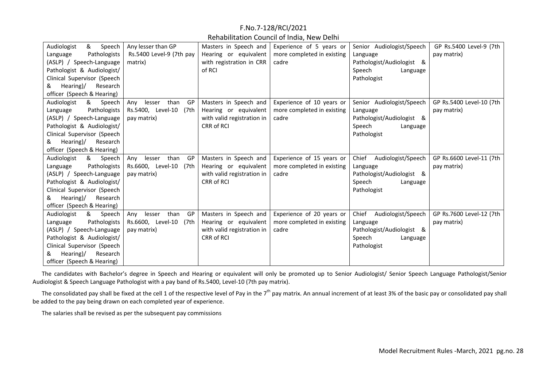| Audiologist<br>&<br>Speech<br>Pathologists<br>Language<br>(ASLP) / Speech-Language<br>Pathologist & Audiologist/<br>Clinical Supervisor (Speech<br>& Hearing)/<br>Research<br>officer (Speech & Hearing)    | Any lesser than GP<br>Rs.5400 Level-9 (7th pay<br>matrix)               | Masters in Speech and<br>Hearing or equivalent<br>with registration in CRR<br>of RCI       | Experience of 5 years or<br>more completed in existing<br>cadre  | Senior Audiologist/Speech<br>Language<br>Pathologist/Audiologist &<br>Speech<br>Language<br>Pathologist   | GP Rs.5400 Level-9 (7th<br>pay matrix)  |
|-------------------------------------------------------------------------------------------------------------------------------------------------------------------------------------------------------------|-------------------------------------------------------------------------|--------------------------------------------------------------------------------------------|------------------------------------------------------------------|-----------------------------------------------------------------------------------------------------------|-----------------------------------------|
| Audiologist<br>&<br>Speech<br>Language<br>Pathologists<br>(ASLP) / Speech-Language<br>Pathologist & Audiologist/<br>Clinical Supervisor (Speech<br>& Hearing)/<br>Research<br>officer (Speech & Hearing)    | lesser<br>than<br>GP<br>Any<br>Rs.5400, Level-10<br>(7th<br>pay matrix) | Masters in Speech and<br>Hearing or equivalent<br>with valid registration in<br>CRR of RCI | Experience of 10 years or<br>more completed in existing<br>cadre | Senior Audiologist/Speech<br>Language<br>Pathologist/Audiologist &<br>Speech<br>Language<br>Pathologist   | GP Rs.5400 Level-10 (7th<br>pay matrix) |
| Audiologist<br>&<br>Speech<br>Pathologists<br>Language<br>(ASLP) / Speech-Language<br>Pathologist & Audiologist/<br>Clinical Supervisor (Speech<br>Hearing)/<br>Research<br>officer (Speech & Hearing)      | than<br>lesser<br>GP<br>Any<br>Rs.6600, Level-10<br>(7th<br>pay matrix) | Masters in Speech and<br>Hearing or equivalent<br>with valid registration in<br>CRR of RCI | Experience of 15 years or<br>more completed in existing<br>cadre | Chief<br>Audiologist/Speech<br>Language<br>Pathologist/Audiologist &<br>Speech<br>Language<br>Pathologist | GP Rs.6600 Level-11 (7th<br>pay matrix) |
| Audiologist<br>&<br>Speech<br>Language<br>Pathologists<br>(ASLP) / Speech-Language<br>Pathologist & Audiologist/<br>Clinical Supervisor (Speech<br>Hearing)/<br>Research<br>&<br>officer (Speech & Hearing) | lesser<br>than<br>GP<br>Any<br>Rs.6600, Level-10<br>(7th<br>pay matrix) | Masters in Speech and<br>Hearing or equivalent<br>with valid registration in<br>CRR of RCI | Experience of 20 years or<br>more completed in existing<br>cadre | Chief<br>Audiologist/Speech<br>Language<br>Pathologist/Audiologist &<br>Speech<br>Language<br>Pathologist | GP Rs.7600 Level-12 (7th<br>pay matrix) |

The candidates with Bachelor's degree in Speech and Hearing or equivalent will only be promoted up to Senior Audiologist/ Senior Speech Language Pathologist/Senior Audiologist & Speech Language Pathologist with a pay band of Rs.5400, Level-10 (7th pay matrix).

The consolidated pay shall be fixed at the cell 1 of the respective level of Pay in the  $7<sup>th</sup>$  pay matrix. An annual increment of at least 3% of the basic pay or consolidated pay shall be added to the pay being drawn on each completed year of experience.

The salaries shall be revised as per the subsequent pay commissions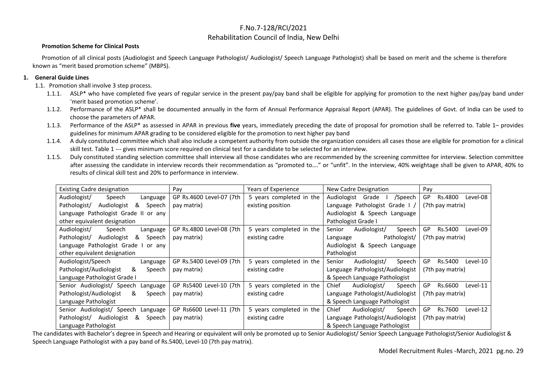#### Rehabilitation Council of India, New Delhi

#### **Promotion Scheme for Clinical Posts**

Promotion of all clinical posts (Audiologist and Speech Language Pathologist/ Audiologist/ Speech Language Pathologist) shall be based on merit and the scheme is therefore known as "merit based promotion scheme" (MBPS).

#### **1. General Guide Lines**

1.1. Promotion shall involve 3 step process.

- 1.1.1. ASLP\* who have completed five years of regular service in the present pay/pay band shall be eligible for applying for promotion to the next higher pay/pay band under 'merit based promotion scheme'.
- 1.1.2. Performance of the ASLP\* shall be documented annually in the form of Annual Performance Appraisal Report (APAR). The guidelines of Govt. of India can be used to choose the parameters of APAR.
- 1.1.3. Performance of the ASLP\* as assessed in APAR in previous **five** years, immediately preceding the date of proposal for promotion shall be referred to. Table 1– provides guidelines for minimum APAR grading to be considered eligible for the promotion to next higher pay band
- 1.1.4. A duly constituted committee which shall also include a competent authority from outside the organization considers all cases those are eligible for promotion for a clinical skill test. Table 1 --- gives minimum score required on clinical test for a candidate to be selected for an interview.
- 1.1.5. Duly constituted standing selection committee shall interview all those candidates who are recommended by the screening committee for interview. Selection committee after assessing the candidate in interview records their recommendation as "promoted to…." or "unfit". In the interview, 40% weightage shall be given to APAR, 40% to results of clinical skill test and 20% to performance in interview.

| <b>Existing Cadre designation</b>            | Pay                           | Years of Experience      | New Cadre Designation            | Pay                       |
|----------------------------------------------|-------------------------------|--------------------------|----------------------------------|---------------------------|
| Audiologist/<br>Speech<br>Language           | GP Rs.4600 Level-07 (7th      | 5 years completed in the | /Speech<br>Grade<br>Audiologist  | GP<br>Rs.4800<br>Level-08 |
| Audiologist<br>&<br>Pathologist/<br>Speech   | pay matrix)                   | existing position        | Language Pathologist Grade I,    | (7th pay matrix)          |
| Language Pathologist Grade<br>H<br>anv<br>or |                               |                          | Audiologist & Speech Language    |                           |
| other equivalent designation                 |                               |                          | Pathologist Grade I              |                           |
| Audiologist/<br>Speech<br>Language           | GP Rs.4800 Level-08 (7th      | 5 years completed in the | Audiologist/<br>Senior<br>Speech | Rs.5400<br>GP<br>Level-09 |
| Pathologist/<br>Audiologist<br>&<br>Speech   | pay matrix)                   | existing cadre           | Pathologist/<br>Language         | (7th pay matrix)          |
| Language Pathologist Grade<br>or any         |                               |                          | Audiologist & Speech Language    |                           |
| other equivalent designation                 | Pathologist                   |                          |                                  |                           |
| Audiologist/Speech<br>Language               | GP Rs.5400 Level-09 (7th      | 5 years completed in the | Audiologist/<br>Speech<br>Senior | GP<br>Rs.5400<br>Level-10 |
| Pathologist/Audiologist<br>&<br>Speech       | pay matrix)                   | existing cadre           | Language Pathologist/Audiologist | (7th pay matrix)          |
| Language Pathologist Grade I                 |                               |                          | & Speech Language Pathologist    |                           |
| Senior Audiologist/ Speech<br>Language       | GP Rs5400 Level-10 (7th       | 5 years completed in the | Chief<br>Audiologist/<br>Speech  | Rs.6600<br>Level-11<br>GP |
| Pathologist/Audiologist<br>&<br>Speech       | pay matrix)                   | existing cadre           | Language Pathologist/Audiologist | (7th pay matrix)          |
| Language Pathologist                         | & Speech Language Pathologist |                          |                                  |                           |
| Senior Audiologist/ Speech<br>Language       | GP Rs6600 Level-11 (7th       | 5 years completed in the | Chief<br>Audiologist/<br>Speech  | Rs.7600<br>GP<br>Level-12 |
| &<br>Pathologist/<br>Audiologist<br>Speech   | pay matrix)                   | existing cadre           | Language Pathologist/Audiologist | (7th pay matrix)          |
| Language Pathologist                         |                               |                          | & Speech Language Pathologist    |                           |

The candidates with Bachelor's degree in Speech and Hearing or equivalent will only be promoted up to Senior Audiologist/ Senior Speech Language Pathologist/Senior Audiologist & Speech Language Pathologist with a pay band of Rs.5400, Level-10 (7th pay matrix).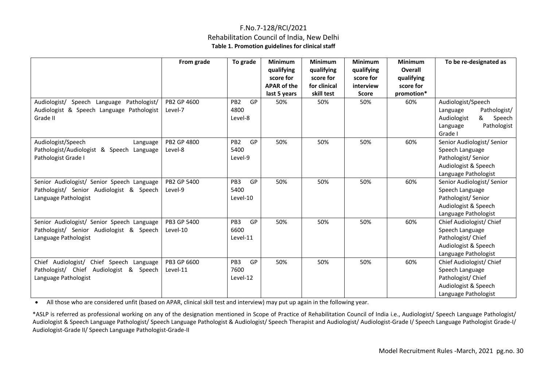### F.No.7-128/RCI/2021 Rehabilitation Council of India, New Delhi **Table 1. Promotion guidelines for clinical staff**

|                                                 | From grade  | To grade              | <b>Minimum</b>     | <b>Minimum</b> | <b>Minimum</b> | <b>Minimum</b> | To be re-designated as     |
|-------------------------------------------------|-------------|-----------------------|--------------------|----------------|----------------|----------------|----------------------------|
|                                                 |             |                       | qualifying         | qualifying     | qualifying     | Overall        |                            |
|                                                 |             |                       | score for          | score for      | score for      | qualifying     |                            |
|                                                 |             |                       | <b>APAR of the</b> | for clinical   | interview      | score for      |                            |
|                                                 |             |                       | last 5 years       | skill test     | <b>Score</b>   | promotion*     |                            |
| Audiologist/<br>Speech Language<br>Pathologist/ | PB2 GP 4600 | PB <sub>2</sub><br>GP | 50%                | 50%            | 50%            | 60%            | Audiologist/Speech         |
| Audiologist & Speech Language Pathologist       | Level-7     | 4800                  |                    |                |                |                | Pathologist/<br>Language   |
| Grade II                                        |             | Level-8               |                    |                |                |                | Audiologist<br>&<br>Speech |
|                                                 |             |                       |                    |                |                |                | Pathologist<br>Language    |
|                                                 |             |                       |                    |                |                |                | Grade I                    |
| Audiologist/Speech<br>Language                  | PB2 GP 4800 | GP<br>PB <sub>2</sub> | 50%                | 50%            | 50%            | 60%            | Senior Audiologist/ Senior |
| Pathologist/Audiologist & Speech Language       | Level-8     | 5400                  |                    |                |                |                | Speech Language            |
| Pathologist Grade I                             |             | Level-9               |                    |                |                |                | Pathologist/Senior         |
|                                                 |             |                       |                    |                |                |                | Audiologist & Speech       |
|                                                 |             |                       |                    |                |                |                | Language Pathologist       |
| Senior Audiologist/ Senior Speech Language      | PB2 GP 5400 | PB <sub>3</sub><br>GP | 50%                | 50%            | 50%            | 60%            | Senior Audiologist/ Senior |
| Pathologist/ Senior Audiologist & Speech        | Level-9     | 5400                  |                    |                |                |                | Speech Language            |
| Language Pathologist                            |             | Level-10              |                    |                |                |                | Pathologist/Senior         |
|                                                 |             |                       |                    |                |                |                | Audiologist & Speech       |
|                                                 |             |                       |                    |                |                |                | Language Pathologist       |
| Senior Audiologist/ Senior Speech Language      | PB3 GP 5400 | PB3<br>GP             | 50%                | 50%            | 50%            | 60%            | Chief Audiologist/ Chief   |
| Pathologist/ Senior Audiologist & Speech        | Level-10    | 6600                  |                    |                |                |                | Speech Language            |
| Language Pathologist                            |             | Level-11              |                    |                |                |                | Pathologist/ Chief         |
|                                                 |             |                       |                    |                |                |                | Audiologist & Speech       |
|                                                 |             |                       |                    |                |                |                | Language Pathologist       |
| Chief Audiologist/ Chief Speech Language        | PB3 GP 6600 | PB3<br>GP<br>7600     | 50%                | 50%            | 50%            | 60%            | Chief Audiologist/ Chief   |
| Pathologist/ Chief Audiologist & Speech         | Level-11    | Level-12              |                    |                |                |                | Speech Language            |
| Language Pathologist                            |             |                       |                    |                |                |                | Pathologist/ Chief         |
|                                                 |             |                       |                    |                |                |                | Audiologist & Speech       |
|                                                 |             |                       |                    |                |                |                | Language Pathologist       |

• All those who are considered unfit (based on APAR, clinical skill test and interview) may put up again in the following year.

\*ASLP is referred as professional working on any of the designation mentioned in Scope of Practice of Rehabilitation Council of India i.e., Audiologist/ Speech Language Pathologist/ Audiologist & Speech Language Pathologist/ Speech Language Pathologist & Audiologist/ Speech Therapist and Audiologist/ Audiologist-Grade I/ Speech Language Pathologist Grade-I/ Audiologist-Grade II/ Speech Language Pathologist-Grade-II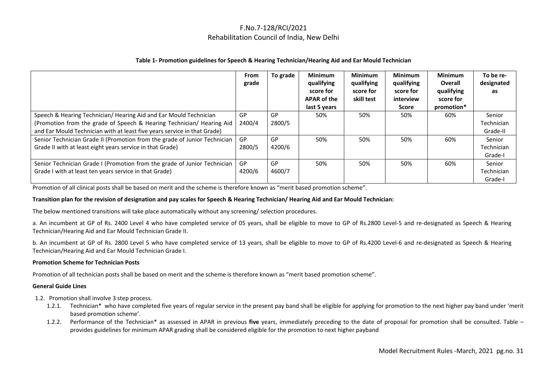#### **Table 1- Promotion guidelines for Speech & Hearing Technician/Hearing Aid and Ear Mould Technician**

|                                                                           | From<br>grade | To grade | <b>Minimum</b><br>qualifying<br>score for<br><b>APAR of the</b><br>last 5 years | <b>Minimum</b><br>qualifying<br>score for<br>skill test | <b>Minimum</b><br>qualifying<br>score for<br>interview<br>Score | <b>Minimum</b><br>Overall<br>qualifying<br>score for<br>promotion* | To be re-<br>designated<br>as |
|---------------------------------------------------------------------------|---------------|----------|---------------------------------------------------------------------------------|---------------------------------------------------------|-----------------------------------------------------------------|--------------------------------------------------------------------|-------------------------------|
| Speech & Hearing Technician/ Hearing Aid and Ear Mould Technician         | GP            | GP       | 50%                                                                             | 50%                                                     | 50%                                                             | 60%                                                                | Senior                        |
| (Promotion from the grade of Speech & Hearing Technician/ Hearing Aid     | 2400/4        | 2800/5   |                                                                                 |                                                         |                                                                 |                                                                    | Technician                    |
| and Ear Mould Technician with at least five years service in that Grade)  |               |          |                                                                                 |                                                         |                                                                 |                                                                    | Grade-II                      |
| Senior Technician Grade II (Promotion from the grade of Junior Technician | GP            | GP       | 50%                                                                             | 50%                                                     | 50%                                                             | 60%                                                                | Senior                        |
| Grade II with at least eight years service in that Grade)                 | 2800/5        | 4200/6   |                                                                                 |                                                         |                                                                 |                                                                    | Technician                    |
|                                                                           |               |          |                                                                                 |                                                         |                                                                 |                                                                    | Grade-I                       |
| Senior Technician Grade I (Promotion from the grade of Junior Technician  | GP            | GP       | 50%                                                                             | 50%                                                     | 50%                                                             | 60%                                                                | Senior                        |
| Grade I with at least ten years service in that Grade)                    | 4200/6        | 4600/7   |                                                                                 |                                                         |                                                                 |                                                                    | Technician                    |
|                                                                           |               |          |                                                                                 |                                                         |                                                                 |                                                                    | Grade-I                       |

Promotion of all clinical posts shall be based on merit and the scheme is therefore known as "merit based promotion scheme".

#### **Transition plan for the revision of designation and pay scales for Speech & Hearing Technician/ Hearing Aid and Ear Mould Technician:**

The below mentioned transitions will take place automatically without any screening/ selection procedures.

a. An incumbent at GP of Rs. 2400 Level 4 who have completed service of 05 years, shall be eligible to move to GP of Rs.2800 Level-5 and re-designated as Speech & Hearing Technician/Hearing Aid and Ear Mould Technician Grade II.

b. An incumbent at GP of Rs. 2800 Level 5 who have completed service of 13 years, shall be eligible to move to GP of Rs.4200 Level-6 and re-designated as Speech & Hearing Technician/Hearing Aid and Ear Mould Technician Grade I.

#### **Promotion Scheme for Technician Posts**

Promotion of all technician posts shall be based on merit and the scheme is therefore known as "merit based promotion scheme".

#### **General Guide Lines**

- 1.2. Promotion shall involve 3 step process.
	- 1.2.1. Technician\* who have completed five years of regular service in the present pay band shall be eligible for applying for promotion to the next higher pay band under 'merit based promotion scheme'.
	- 1.2.2. Performance of the Technician\* as assessed in APAR in previous **five** years, immediately preceding to the date of proposal for promotion shall be consulted. Table provides guidelines for minimum APAR grading shall be considered eligible for the promotion to next higher payband